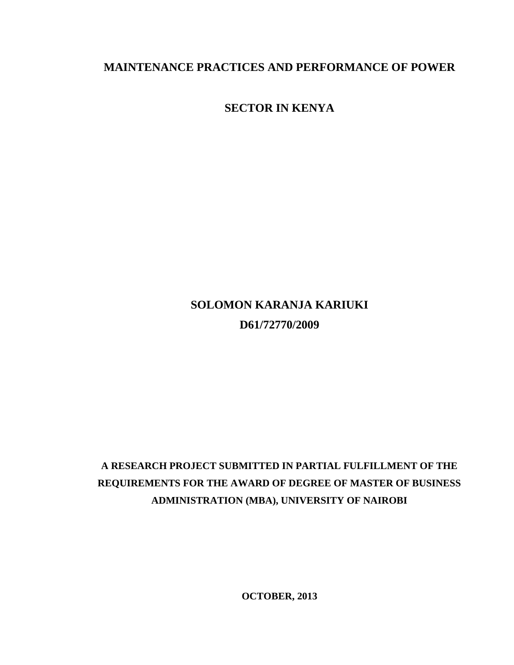# **MAINTENANCE PRACTICES AND PERFORMANCE OF POWER**

**SECTOR IN KENYA**

# **SOLOMON KARANJA KARIUKI D61/72770/2009**

# **A RESEARCH PROJECT SUBMITTED IN PARTIAL FULFILLMENT OF THE REQUIREMENTS FOR THE AWARD OF DEGREE OF MASTER OF BUSINESS ADMINISTRATION (MBA), UNIVERSITY OF NAIROBI**

**OCTOBER, 2013**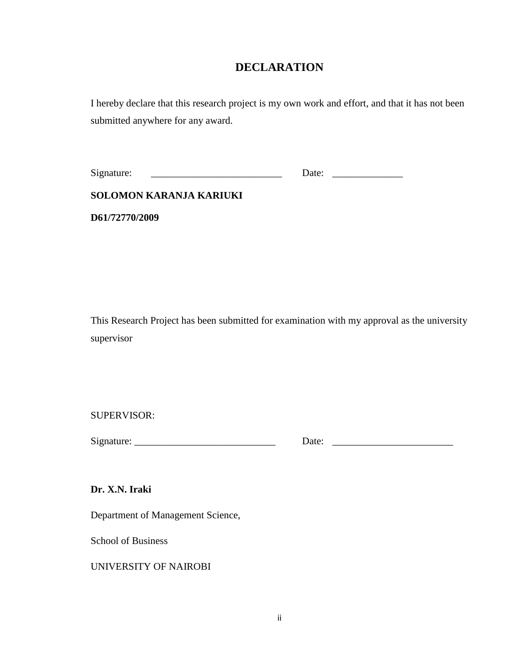# **DECLARATION**

<span id="page-1-0"></span>I hereby declare that this research project is my own work and effort, and that it has not been submitted anywhere for any award.

**SOLOMON KARANJA KARIUKI**

**D61/72770/2009**

This Research Project has been submitted for examination with my approval as the university supervisor

SUPERVISOR:

Signature: \_\_\_\_\_\_\_\_\_\_\_\_\_\_\_\_\_\_\_\_\_\_\_\_\_\_\_\_ Date: \_\_\_\_\_\_\_\_\_\_\_\_\_\_\_\_\_\_\_\_\_\_\_\_

**Dr. X.N. Iraki**

Department of Management Science,

School of Business

UNIVERSITY OF NAIROBI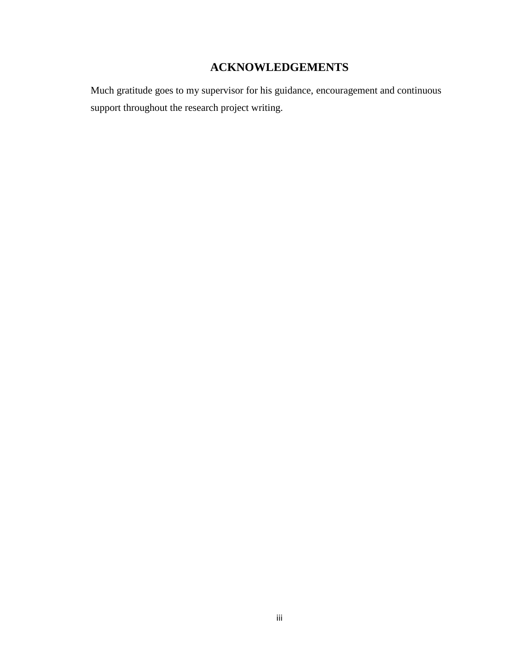# **ACKNOWLEDGEMENTS**

<span id="page-2-0"></span>Much gratitude goes to my supervisor for his guidance, encouragement and continuous support throughout the research project writing.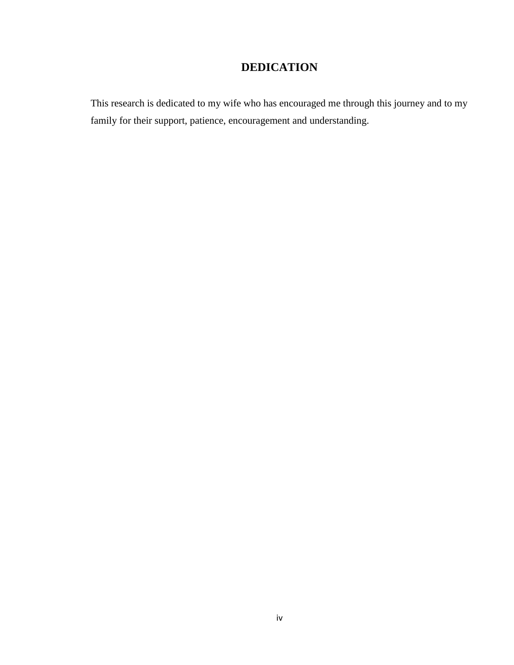# **DEDICATION**

<span id="page-3-0"></span>This research is dedicated to my wife who has encouraged me through this journey and to my family for their support, patience, encouragement and understanding.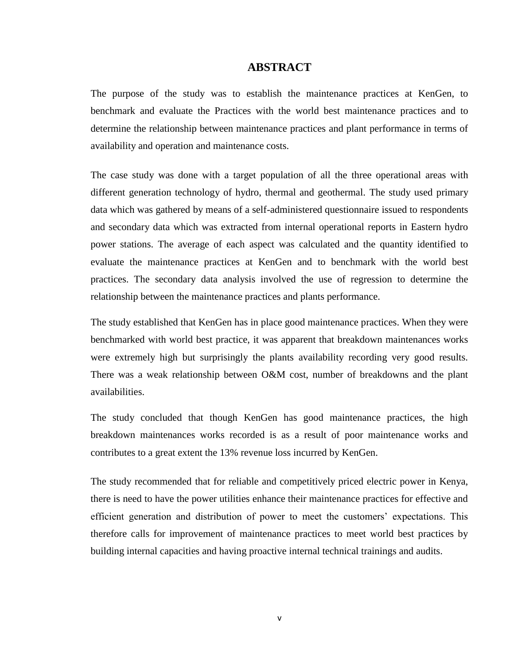#### **ABSTRACT**

<span id="page-4-0"></span>The purpose of the study was to establish the maintenance practices at KenGen, to benchmark and evaluate the Practices with the world best maintenance practices and to determine the relationship between maintenance practices and plant performance in terms of availability and operation and maintenance costs.

The case study was done with a target population of all the three operational areas with different generation technology of hydro, thermal and geothermal. The study used primary data which was gathered by means of a self-administered questionnaire issued to respondents and secondary data which was extracted from internal operational reports in Eastern hydro power stations. The average of each aspect was calculated and the quantity identified to evaluate the maintenance practices at KenGen and to benchmark with the world best practices. The secondary data analysis involved the use of regression to determine the relationship between the maintenance practices and plants performance.

The study established that KenGen has in place good maintenance practices. When they were benchmarked with world best practice, it was apparent that breakdown maintenances works were extremely high but surprisingly the plants availability recording very good results. There was a weak relationship between O&M cost, number of breakdowns and the plant availabilities.

The study concluded that though KenGen has good maintenance practices, the high breakdown maintenances works recorded is as a result of poor maintenance works and contributes to a great extent the 13% revenue loss incurred by KenGen.

The study recommended that for reliable and competitively priced electric power in Kenya, there is need to have the power utilities enhance their maintenance practices for effective and efficient generation and distribution of power to meet the customers" expectations. This therefore calls for improvement of maintenance practices to meet world best practices by building internal capacities and having proactive internal technical trainings and audits.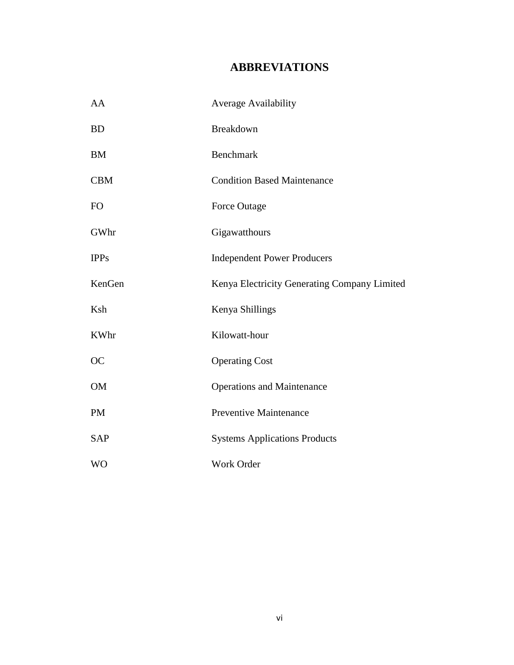# **ABBREVIATIONS**

<span id="page-5-0"></span>

| AA          | <b>Average Availability</b>                  |
|-------------|----------------------------------------------|
| <b>BD</b>   | Breakdown                                    |
| <b>BM</b>   | Benchmark                                    |
| <b>CBM</b>  | <b>Condition Based Maintenance</b>           |
| FO          | Force Outage                                 |
| GWhr        | Gigawatthours                                |
| <b>IPPs</b> | <b>Independent Power Producers</b>           |
| KenGen      | Kenya Electricity Generating Company Limited |
| Ksh         | Kenya Shillings                              |
| <b>KWhr</b> | Kilowatt-hour                                |
| <b>OC</b>   | <b>Operating Cost</b>                        |
| <b>OM</b>   | <b>Operations and Maintenance</b>            |
| <b>PM</b>   | <b>Preventive Maintenance</b>                |
| <b>SAP</b>  | <b>Systems Applications Products</b>         |
| <b>WO</b>   | Work Order                                   |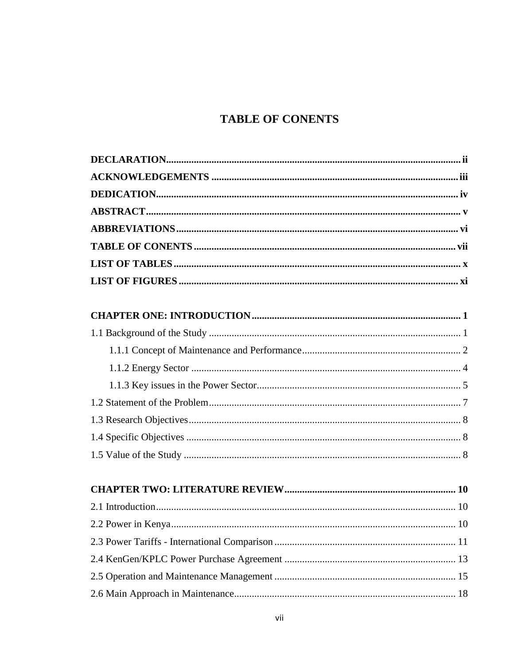# **TABLE OF CONENTS**

<span id="page-6-0"></span>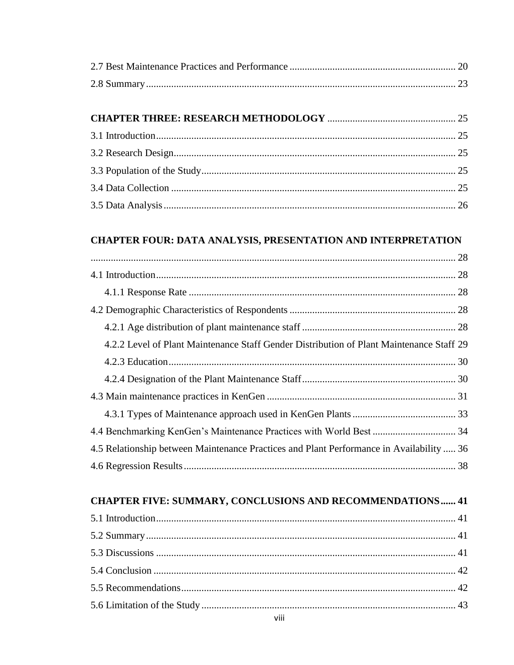# **CHAPTER FOUR: DATA ANALYSIS, PRESENTATION AND INTERPRETATION**

| 4.2.2 Level of Plant Maintenance Staff Gender Distribution of Plant Maintenance Staff 29 |  |
|------------------------------------------------------------------------------------------|--|
|                                                                                          |  |
|                                                                                          |  |
|                                                                                          |  |
|                                                                                          |  |
| 4.4 Benchmarking KenGen's Maintenance Practices with World Best  34                      |  |
| 4.5 Relationship between Maintenance Practices and Plant Performance in Availability  36 |  |
|                                                                                          |  |

# **CHAPTER FIVE: SUMMARY, CONCLUSIONS AND RECOMMENDATIONS...... 41**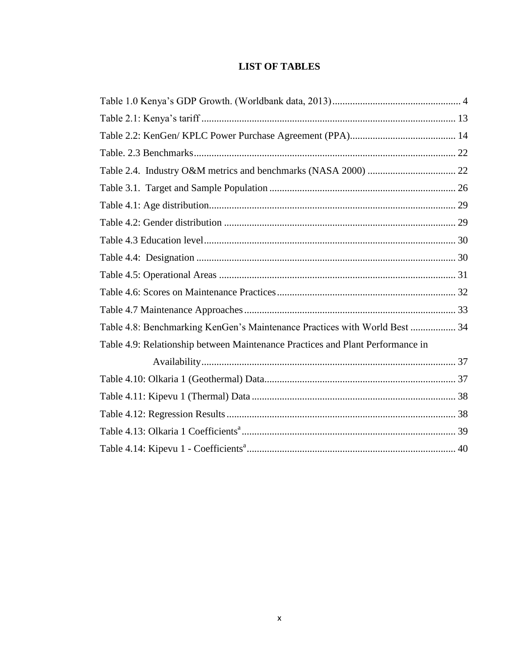# **LIST OF TABLES**

<span id="page-9-0"></span>

| Table 4.8: Benchmarking KenGen's Maintenance Practices with World Best  34     |  |
|--------------------------------------------------------------------------------|--|
| Table 4.9: Relationship between Maintenance Practices and Plant Performance in |  |
|                                                                                |  |
|                                                                                |  |
|                                                                                |  |
|                                                                                |  |
|                                                                                |  |
|                                                                                |  |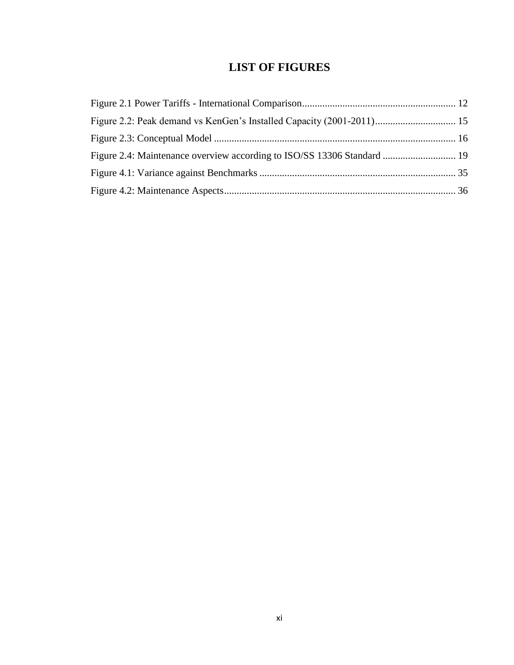# **LIST OF FIGURES**

<span id="page-10-0"></span>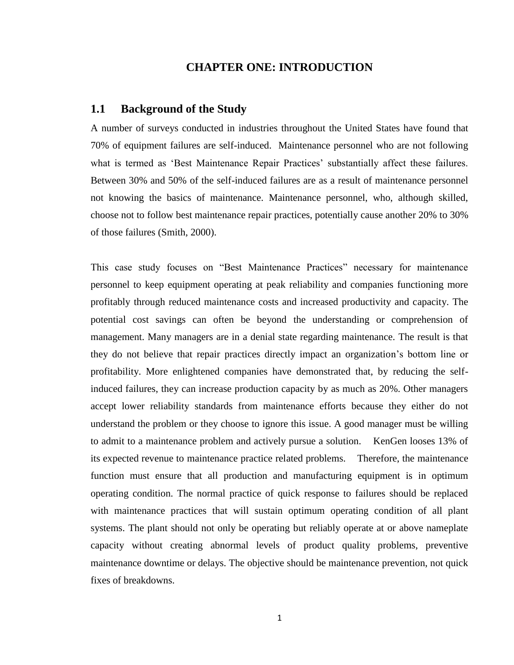#### **CHAPTER ONE: INTRODUCTION**

#### <span id="page-11-1"></span><span id="page-11-0"></span>**1.1 Background of the Study**

A number of surveys conducted in industries throughout the United States have found that 70% of equipment failures are self-induced. Maintenance personnel who are not following what is termed as 'Best Maintenance Repair Practices' substantially affect these failures. Between 30% and 50% of the self-induced failures are as a result of maintenance personnel not knowing the basics of maintenance. Maintenance personnel, who, although skilled, choose not to follow best maintenance repair practices, potentially cause another 20% to 30% of those failures (Smith, 2000).

This case study focuses on "Best Maintenance Practices" necessary for maintenance personnel to keep equipment operating at peak reliability and companies functioning more profitably through reduced maintenance costs and increased productivity and capacity. The potential cost savings can often be beyond the understanding or comprehension of management. Many managers are in a denial state regarding maintenance. The result is that they do not believe that repair practices directly impact an organization"s bottom line or profitability. More enlightened companies have demonstrated that, by reducing the selfinduced failures, they can increase production capacity by as much as 20%. Other managers accept lower reliability standards from maintenance efforts because they either do not understand the problem or they choose to ignore this issue. A good manager must be willing to admit to a maintenance problem and actively pursue a solution. KenGen looses 13% of its expected revenue to maintenance practice related problems. Therefore, the maintenance function must ensure that all production and manufacturing equipment is in optimum operating condition. The normal practice of quick response to failures should be replaced with maintenance practices that will sustain optimum operating condition of all plant systems. The plant should not only be operating but reliably operate at or above nameplate capacity without creating abnormal levels of product quality problems, preventive maintenance downtime or delays. The objective should be maintenance prevention, not quick fixes of breakdowns.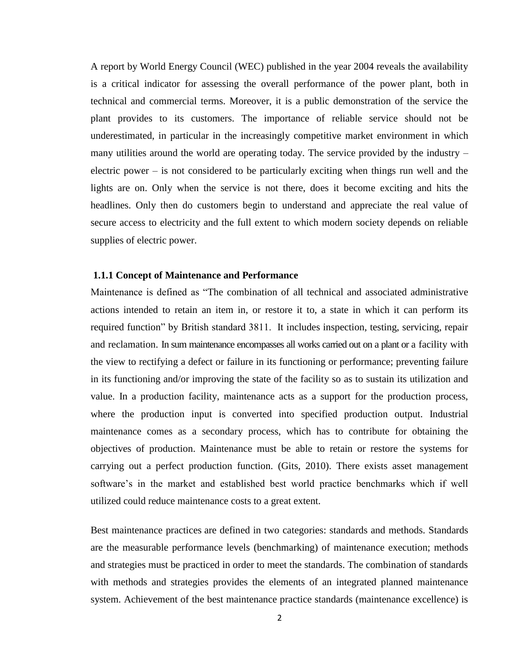A report by World Energy Council (WEC) published in the year 2004 reveals the availability is a critical indicator for assessing the overall performance of the power plant, both in technical and commercial terms. Moreover, it is a public demonstration of the service the plant provides to its customers. The importance of reliable service should not be underestimated, in particular in the increasingly competitive market environment in which many utilities around the world are operating today. The service provided by the industry – electric power – is not considered to be particularly exciting when things run well and the lights are on. Only when the service is not there, does it become exciting and hits the headlines. Only then do customers begin to understand and appreciate the real value of secure access to electricity and the full extent to which modern society depends on reliable supplies of electric power.

#### <span id="page-12-0"></span>**1.1.1 Concept of Maintenance and Performance**

Maintenance is defined as "The combination of all technical and associated administrative actions intended to retain an item in, or restore it to, a state in which it can perform its required function" by British standard 3811. It includes inspection, testing, servicing, repair and reclamation. In sum maintenance encompasses all works carried out on a plant or a facility with the view to rectifying a defect or failure in its functioning or performance; preventing failure in its functioning and/or improving the state of the facility so as to sustain its utilization and value. In a production facility, maintenance acts as a support for the production process, where the production input is converted into specified production output. Industrial maintenance comes as a secondary process, which has to contribute for obtaining the objectives of production. Maintenance must be able to retain or restore the systems for carrying out a perfect production function. (Gits, 2010). There exists asset management software's in the market and established best world practice benchmarks which if well utilized could reduce maintenance costs to a great extent.

Best [maintenance](http://www.mt-online.com/#bmp) practices are defined in two categories: standards and methods. Standards are the measurable performance levels (benchmarking) of maintenance execution; methods and strategies must be practiced in order to meet the standards. The combination of standards with methods and strategies provides the elements of an integrated planned maintenance system. Achievement of the best maintenance practice standards (maintenance excellence) is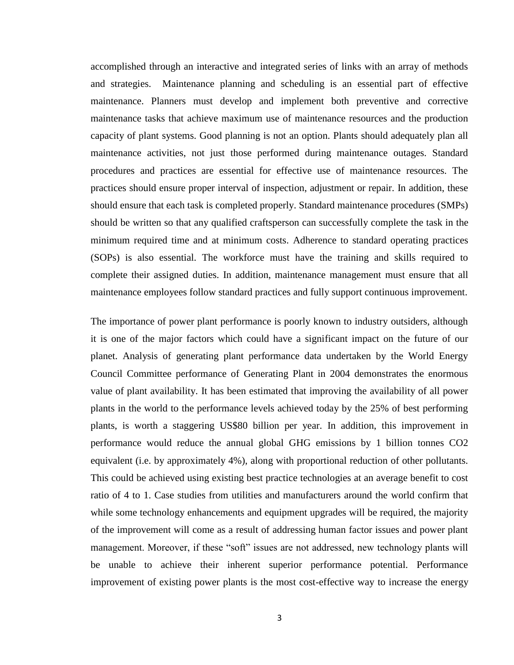accomplished through an interactive and integrated series of links with an array of methods and strategies. Maintenance planning and scheduling is an essential part of effective maintenance. Planners must develop and implement both preventive and corrective maintenance tasks that achieve maximum use of maintenance resources and the production capacity of plant systems. Good planning is not an option. Plants should adequately plan all maintenance activities, not just those performed during maintenance outages. Standard procedures and practices are essential for effective use of maintenance resources. The practices should ensure proper interval of inspection, adjustment or repair. In addition, these should ensure that each task is completed properly. Standard maintenance procedures (SMPs) should be written so that any qualified craftsperson can successfully complete the task in the minimum required time and at minimum costs. Adherence to standard operating practices (SOPs) is also essential. The workforce must have the training and skills required to complete their assigned duties. In addition, maintenance management must ensure that all maintenance employees follow standard practices and fully support continuous improvement.

The importance of power plant performance is poorly known to industry outsiders, although it is one of the major factors which could have a significant impact on the future of our planet. Analysis of generating plant performance data undertaken by the World Energy Council Committee performance of Generating Plant in 2004 demonstrates the enormous value of plant availability. It has been estimated that improving the availability of all power plants in the world to the performance levels achieved today by the 25% of best performing plants, is worth a staggering US\$80 billion per year. In addition, this improvement in performance would reduce the annual global GHG emissions by 1 billion tonnes CO2 equivalent (i.e. by approximately 4%), along with proportional reduction of other pollutants. This could be achieved using existing best practice technologies at an average benefit to cost ratio of 4 to 1. Case studies from utilities and manufacturers around the world confirm that while some technology enhancements and equipment upgrades will be required, the majority of the improvement will come as a result of addressing human factor issues and power plant management. Moreover, if these "soft" issues are not addressed, new technology plants will be unable to achieve their inherent superior performance potential. Performance improvement of existing power plants is the most cost-effective way to increase the energy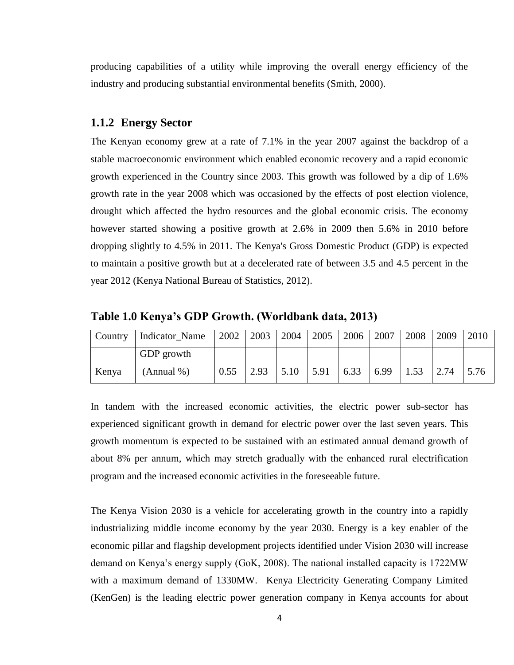producing capabilities of a utility while improving the overall energy efficiency of the industry and producing substantial environmental benefits (Smith, 2000).

#### <span id="page-14-0"></span>**1.1.2 Energy Sector**

The Kenyan economy grew at a rate of 7.1% in the year 2007 against the backdrop of a stable macroeconomic environment which enabled economic recovery and a rapid economic growth experienced in the Country since 2003. This growth was followed by a dip of 1.6% growth rate in the year 2008 which was occasioned by the effects of post election violence, drought which affected the hydro resources and the global economic crisis. The economy however started showing a positive growth at 2.6% in 2009 then 5.6% in 2010 before dropping slightly to 4.5% in 2011. The Kenya's Gross Domestic Product (GDP) is expected to maintain a positive growth but at a decelerated rate of between 3.5 and 4.5 percent in the year 2012 (Kenya National Bureau of Statistics, 2012).

<span id="page-14-1"></span>**Table 1.0 Kenya's GDP Growth. (Worldbank data, 2013)**

| <b>Country</b> | Indicator_Name | 2002 |               | 2003   2004   2005 |                     | 2006         | 2007 | 2008 | 2009 | 2010 |
|----------------|----------------|------|---------------|--------------------|---------------------|--------------|------|------|------|------|
|                | GDP growth     |      |               |                    |                     |              |      |      |      |      |
| Kenya          | (Annual %)     | 0.55 | $\sqrt{2.93}$ | $\vert 5.10 \vert$ | $\frac{5.91}{5.91}$ | $\perp$ 6.33 | 6.99 | 1.53 | 2.74 | 5.76 |

In tandem with the increased economic activities, the electric power sub-sector has experienced significant growth in demand for electric power over the last seven years. This growth momentum is expected to be sustained with an estimated annual demand growth of about 8% per annum, which may stretch gradually with the enhanced rural electrification program and the increased economic activities in the foreseeable future.

The Kenya Vision 2030 is a vehicle for accelerating growth in the country into a rapidly industrializing middle income economy by the year 2030. Energy is a key enabler of the economic pillar and flagship development projects identified under Vision 2030 will increase demand on Kenya"s energy supply (GoK, 2008). The national installed capacity is 1722MW with a maximum demand of 1330MW. Kenya Electricity Generating Company Limited (KenGen) is the leading electric power generation company in Kenya accounts for about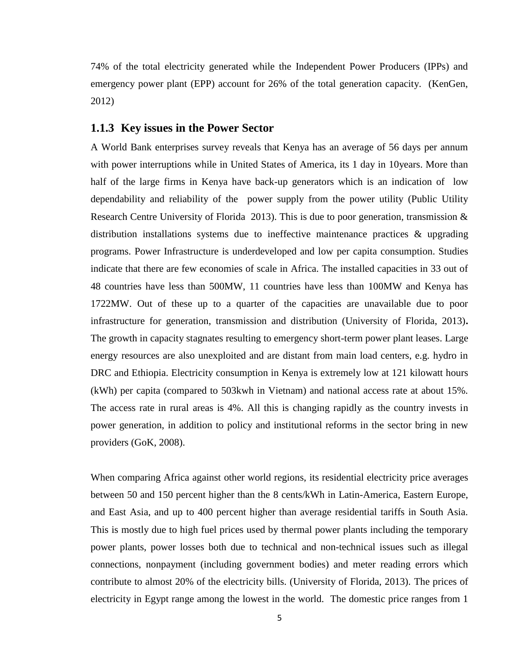74% of the total electricity generated while the Independent Power Producers (IPPs) and emergency power plant (EPP) account for 26% of the total generation capacity. (KenGen, 2012)

#### <span id="page-15-0"></span>**1.1.3 Key issues in the Power Sector**

A World Bank enterprises survey reveals that Kenya has an average of 56 days per annum with power interruptions while in United States of America, its 1 day in 10 years. More than half of the large firms in Kenya have back-up generators which is an indication of low dependability and reliability of the power supply from the power utility (Public Utility Research Centre University of Florida 2013). This is due to poor generation, transmission & distribution installations systems due to ineffective maintenance practices & upgrading programs. Power Infrastructure is underdeveloped and low per capita consumption. Studies indicate that there are few economies of scale in Africa. The installed capacities in 33 out of 48 countries have less than 500MW, 11 countries have less than 100MW and Kenya has 1722MW. Out of these up to a quarter of the capacities are unavailable due to poor infrastructure for generation, transmission and distribution (University of Florida, 2013)**.** The growth in capacity stagnates resulting to emergency short-term power plant leases. Large energy resources are also unexploited and are distant from main load centers, e.g. hydro in DRC and Ethiopia. Electricity consumption in Kenya is extremely low at 121 kilowatt hours (kWh) per capita (compared to 503kwh in Vietnam) and national access rate at about 15%. The access rate in rural areas is 4%. All this is changing rapidly as the country invests in power generation, in addition to policy and institutional reforms in the sector bring in new providers (GoK, 2008).

When comparing Africa against other world regions, its residential electricity price averages between 50 and 150 percent higher than the 8 cents/kWh in Latin-America, Eastern Europe, and East Asia, and up to 400 percent higher than average residential tariffs in South Asia. This is mostly due to high fuel prices used by thermal power plants including the temporary power plants, power losses both due to technical and non-technical issues such as illegal connections, nonpayment (including government bodies) and meter reading errors which contribute to almost 20% of the electricity bills. (University of Florida, 2013). The prices of electricity in Egypt range among the lowest in the world. The domestic price ranges from 1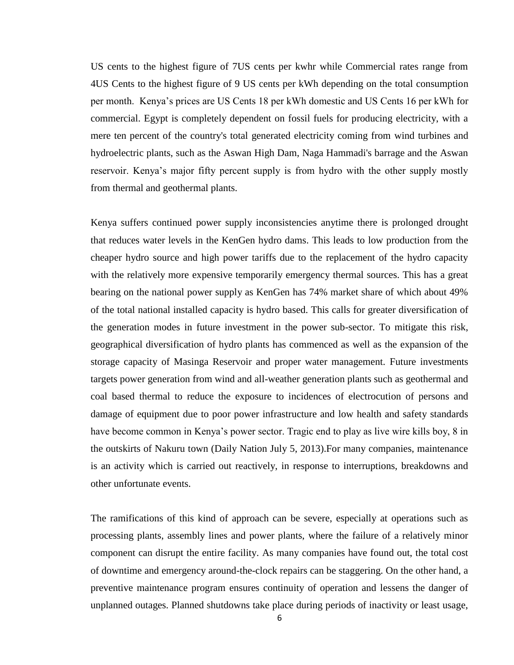US cents to the highest figure of 7US cents per kwhr while Commercial rates range from 4US Cents to the highest figure of 9 US cents per kWh depending on the total consumption per month. Kenya"s prices are US Cents 18 per kWh domestic and US Cents 16 per kWh for commercial. Egypt is completely dependent on fossil fuels for producing electricity, with a mere ten percent of the country's total generated electricity coming from wind turbines and hydroelectric plants, such as the Aswan High Dam, Naga Hammadi's barrage and the Aswan reservoir. Kenya"s major fifty percent supply is from hydro with the other supply mostly from thermal and geothermal plants.

Kenya suffers continued power supply inconsistencies anytime there is prolonged drought that reduces water levels in the KenGen hydro dams. This leads to low production from the cheaper hydro source and high power tariffs due to the replacement of the hydro capacity with the relatively more expensive temporarily emergency thermal sources. This has a great bearing on the national power supply as KenGen has 74% market share of which about 49% of the total national installed capacity is hydro based. This calls for greater diversification of the generation modes in future investment in the power sub-sector. To mitigate this risk, geographical diversification of hydro plants has commenced as well as the expansion of the storage capacity of Masinga Reservoir and proper water management. Future investments targets power generation from wind and all-weather generation plants such as geothermal and coal based thermal to reduce the exposure to incidences of electrocution of persons and damage of equipment due to poor power infrastructure and low health and safety standards have become common in Kenya"s power sector. Tragic end to play as live wire kills boy, 8 in the outskirts of Nakuru town (Daily Nation July 5, 2013).For many companies, maintenance is an activity which is carried out reactively, in response to interruptions, breakdowns and other unfortunate events.

The ramifications of this kind of approach can be severe, especially at operations such as processing plants, assembly lines and power plants, where the failure of a relatively minor component can disrupt the entire facility. As many companies have found out, the total cost of downtime and emergency around-the-clock repairs can be staggering. On the other hand, a preventive maintenance program ensures continuity of operation and lessens the danger of unplanned outages. Planned shutdowns take place during periods of inactivity or least usage,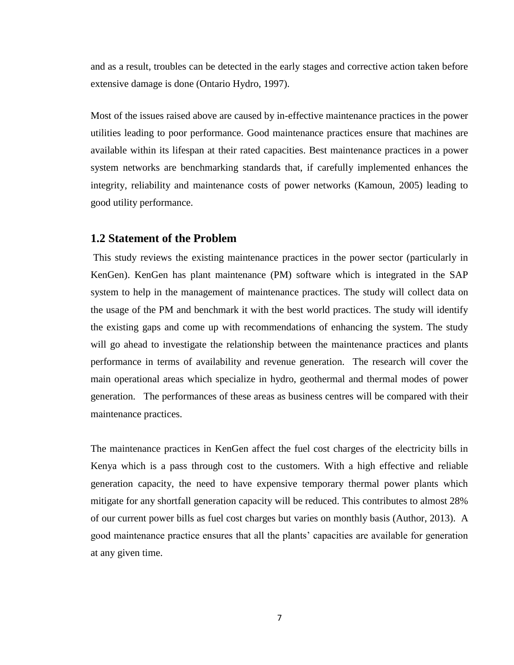and as a result, troubles can be detected in the early stages and corrective action taken before extensive damage is done (Ontario Hydro, 1997).

Most of the issues raised above are caused by in-effective maintenance practices in the power utilities leading to poor performance. Good maintenance practices ensure that machines are available within its lifespan at their rated capacities. Best maintenance practices in a power system networks are benchmarking standards that, if carefully implemented enhances the integrity, reliability and maintenance costs of power networks (Kamoun, 2005) leading to good utility performance.

#### <span id="page-17-0"></span>**1.2 Statement of the Problem**

This study reviews the existing maintenance practices in the power sector (particularly in KenGen). KenGen has plant maintenance (PM) software which is integrated in the SAP system to help in the management of maintenance practices. The study will collect data on the usage of the PM and benchmark it with the best world practices. The study will identify the existing gaps and come up with recommendations of enhancing the system. The study will go ahead to investigate the relationship between the maintenance practices and plants performance in terms of availability and revenue generation. The research will cover the main operational areas which specialize in hydro, geothermal and thermal modes of power generation. The performances of these areas as business centres will be compared with their maintenance practices.

The maintenance practices in KenGen affect the fuel cost charges of the electricity bills in Kenya which is a pass through cost to the customers. With a high effective and reliable generation capacity, the need to have expensive temporary thermal power plants which mitigate for any shortfall generation capacity will be reduced. This contributes to almost 28% of our current power bills as fuel cost charges but varies on monthly basis (Author, 2013). A good maintenance practice ensures that all the plants' capacities are available for generation at any given time.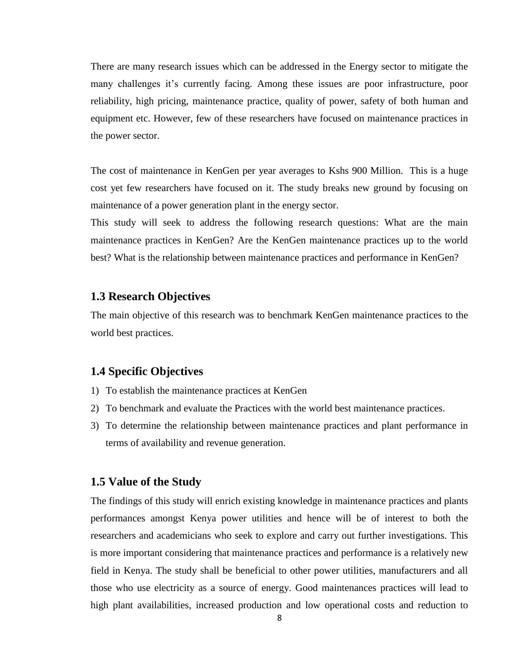There are many research issues which can be addressed in the Energy sector to mitigate the many challenges it's currently facing. Among these issues are poor infrastructure, poor reliability, high pricing, maintenance practice, quality of power, safety of both human and equipment etc. However, few of these researchers have focused on maintenance practices in the power sector.

The cost of maintenance in KenGen per year averages to Kshs 900 Million. This is a huge cost yet few researchers have focused on it. The study breaks new ground by focusing on maintenance of a power generation plant in the energy sector.

This study will seek to address the following research questions: What are the main maintenance practices in KenGen? Are the KenGen maintenance practices up to the world best? What is the relationship between maintenance practices and performance in KenGen?

### <span id="page-18-0"></span>**1.3 Research Objectives**

The main objective of this research was to benchmark KenGen maintenance practices to the world best practices.

### <span id="page-18-1"></span>**1.4 Specific Objectives**

- 1) To establish the maintenance practices at KenGen
- 2) To benchmark and evaluate the Practices with the world best maintenance practices.
- 3) To determine the relationship between maintenance practices and plant performance in terms of availability and revenue generation.

#### <span id="page-18-2"></span>**1.5 Value of the Study**

The findings of this study will enrich existing knowledge in maintenance practices and plants performances amongst Kenya power utilities and hence will be of interest to both the researchers and academicians who seek to explore and carry out further investigations. This is more important considering that maintenance practices and performance is a relatively new field in Kenya. The study shall be beneficial to other power utilities, manufacturers and all those who use electricity as a source of energy. Good maintenances practices will lead to high plant availabilities, increased production and low operational costs and reduction to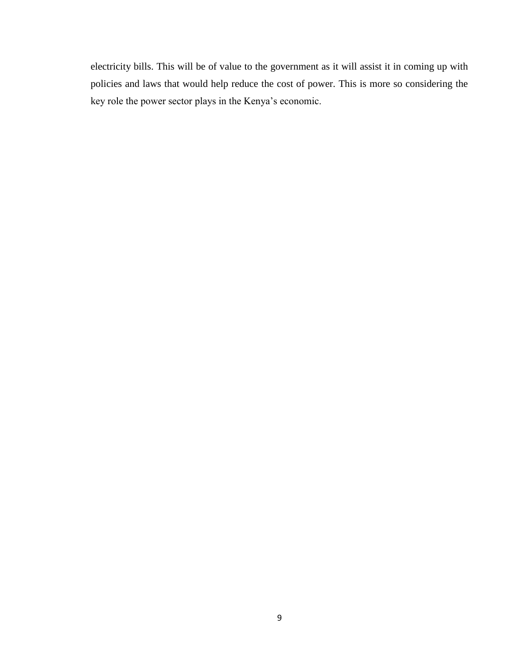electricity bills. This will be of value to the government as it will assist it in coming up with policies and laws that would help reduce the cost of power. This is more so considering the key role the power sector plays in the Kenya"s economic.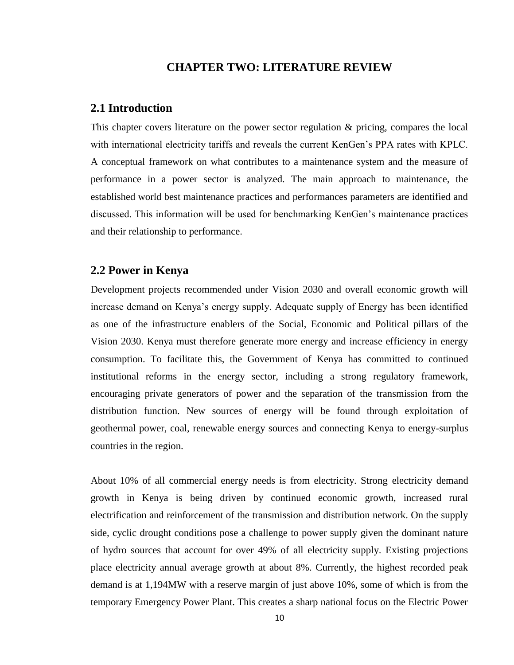### **CHAPTER TWO: LITERATURE REVIEW**

#### <span id="page-20-1"></span><span id="page-20-0"></span>**2.1 Introduction**

This chapter covers literature on the power sector regulation & pricing, compares the local with international electricity tariffs and reveals the current KenGen"s PPA rates with KPLC. A conceptual framework on what contributes to a maintenance system and the measure of performance in a power sector is analyzed. The main approach to maintenance, the established world best maintenance practices and performances parameters are identified and discussed. This information will be used for benchmarking KenGen"s maintenance practices and their relationship to performance.

#### <span id="page-20-2"></span>**2.2 Power in Kenya**

Development projects recommended under Vision 2030 and overall economic growth will increase demand on Kenya"s energy supply. Adequate supply of Energy has been identified as one of the infrastructure enablers of the Social, Economic and Political pillars of the Vision 2030. Kenya must therefore generate more energy and increase efficiency in energy consumption. To facilitate this, the Government of Kenya has committed to continued institutional reforms in the energy sector, including a strong regulatory framework, encouraging private generators of power and the separation of the transmission from the distribution function. New sources of energy will be found through exploitation of geothermal power, coal, renewable energy sources and connecting Kenya to energy-surplus countries in the region.

About 10% of all commercial energy needs is from electricity. Strong electricity demand growth in Kenya is being driven by continued economic growth, increased rural electrification and reinforcement of the transmission and distribution network. On the supply side, cyclic drought conditions pose a challenge to power supply given the dominant nature of hydro sources that account for over 49% of all electricity supply. Existing projections place electricity annual average growth at about 8%. Currently, the highest recorded peak demand is at 1,194MW with a reserve margin of just above 10%, some of which is from the temporary Emergency Power Plant. This creates a sharp national focus on the Electric Power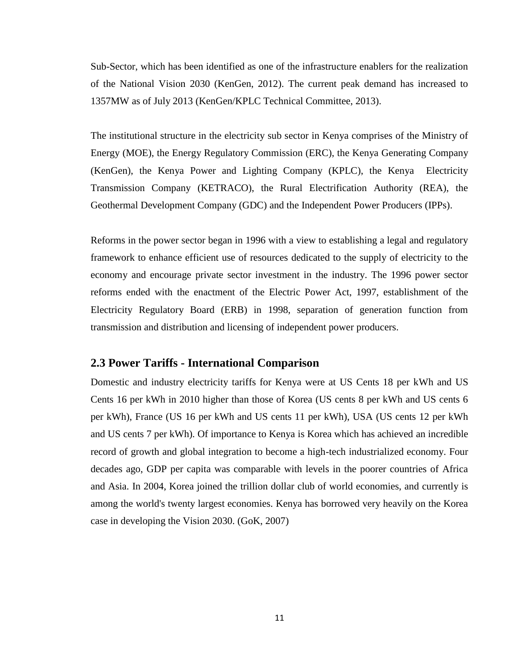Sub-Sector, which has been identified as one of the infrastructure enablers for the realization of the National Vision 2030 (KenGen, 2012). The current peak demand has increased to 1357MW as of July 2013 (KenGen/KPLC Technical Committee, 2013).

The institutional structure in the electricity sub sector in Kenya comprises of the Ministry of Energy (MOE), the Energy Regulatory Commission (ERC), the Kenya Generating Company (KenGen), the Kenya Power and Lighting Company (KPLC), the Kenya Electricity Transmission Company (KETRACO), the Rural Electrification Authority (REA), the Geothermal Development Company (GDC) and the Independent Power Producers (IPPs).

Reforms in the power sector began in 1996 with a view to establishing a legal and regulatory framework to enhance efficient use of resources dedicated to the supply of electricity to the economy and encourage private sector investment in the industry. The 1996 power sector reforms ended with the enactment of the Electric Power Act, 1997, establishment of the Electricity Regulatory Board (ERB) in 1998, separation of generation function from transmission and distribution and licensing of independent power producers.

#### <span id="page-21-0"></span>**2.3 Power Tariffs - International Comparison**

Domestic and industry electricity tariffs for Kenya were at US Cents 18 per kWh and US Cents 16 per kWh in 2010 higher than those of Korea (US cents 8 per kWh and US cents 6 per kWh), France (US 16 per kWh and US cents 11 per kWh), USA (US cents 12 per kWh and US cents 7 per kWh). Of importance to Kenya is Korea which has achieved an incredible record of growth and global integration to become a high-tech industrialized economy. Four decades ago, GDP per capita was comparable with levels in the poorer countries of Africa and Asia. In 2004, Korea joined the trillion dollar club of world economies, and currently is among the world's twenty largest economies. Kenya has borrowed very heavily on the Korea case in developing the Vision 2030. (GoK, 2007)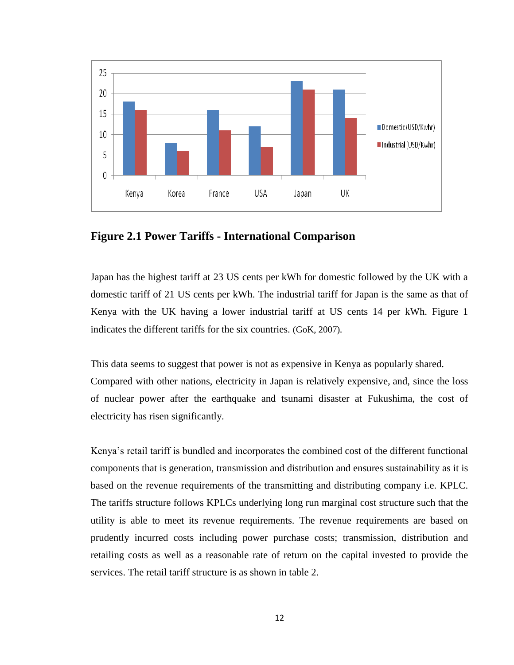

<span id="page-22-0"></span>**Figure 2.1 Power Tariffs - International Comparison** 

Japan has the highest tariff at 23 US cents per kWh for domestic followed by the UK with a domestic tariff of 21 US cents per kWh. The industrial tariff for Japan is the same as that of Kenya with the UK having a lower industrial tariff at US cents 14 per kWh. Figure 1 indicates the different tariffs for the six countries. (GoK, 2007)*.*

This data seems to suggest that power is not as expensive in Kenya as popularly shared.

Compared with other nations, electricity in Japan is relatively expensive, and, since the loss of nuclear power after the earthquake and tsunami disaster at Fukushima, the cost of electricity has risen significantly.

Kenya"s retail tariff is bundled and incorporates the combined cost of the different functional components that is generation, transmission and distribution and ensures sustainability as it is based on the revenue requirements of the transmitting and distributing company i.e. KPLC. The tariffs structure follows KPLCs underlying long run marginal cost structure such that the utility is able to meet its revenue requirements. The revenue requirements are based on prudently incurred costs including power purchase costs; transmission, distribution and retailing costs as well as a reasonable rate of return on the capital invested to provide the services. The retail tariff structure is as shown in table 2.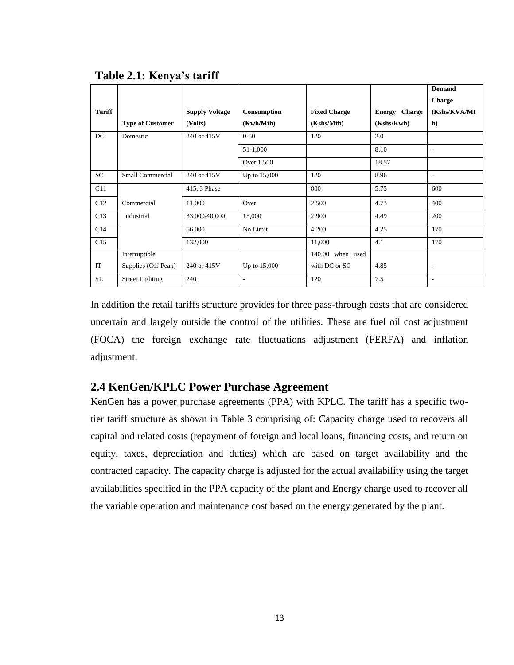|               |                         |                       |              |                     |                      | <b>Demand</b>            |
|---------------|-------------------------|-----------------------|--------------|---------------------|----------------------|--------------------------|
|               |                         |                       |              |                     |                      | <b>Charge</b>            |
| <b>Tariff</b> |                         | <b>Supply Voltage</b> | Consumption  | <b>Fixed Charge</b> | <b>Energy Charge</b> | (Kshs/KVA/Mt)            |
|               | <b>Type of Customer</b> | (Volts)               | (Kwh/Mth)    | (Kshs/Mth)          | (Kshs/Kwh)           | h)                       |
| DC            | Domestic                | 240 or 415V           | $0 - 50$     | 120                 | 2.0                  |                          |
|               |                         |                       | 51-1,000     |                     | 8.10                 | $\overline{\phantom{a}}$ |
|               |                         |                       | Over 1,500   |                     | 18.57                |                          |
| <b>SC</b>     | Small Commercial        | 240 or 415V           | Up to 15,000 | 120                 | 8.96                 | $\overline{\phantom{a}}$ |
| C11           |                         | 415, 3 Phase          |              | 800                 | 5.75                 | 600                      |
| C12           | Commercial              | 11,000                | Over         | 2,500               | 4.73                 | 400                      |
| C13           | Industrial              | 33,000/40,000         | 15,000       | 2,900               | 4.49                 | 200                      |
| C14           |                         | 66,000                | No Limit     | 4,200               | 4.25                 | 170                      |
| C15           |                         | 132,000               |              | 11,000              | 4.1                  | 170                      |
|               | Interruptible           |                       |              | 140.00 when used    |                      |                          |
| IT            | Supplies (Off-Peak)     | 240 or 415V           | Up to 15,000 | with DC or SC       | 4.85                 | $\overline{\phantom{a}}$ |
| <b>SL</b>     | <b>Street Lighting</b>  | 240                   | ۰            | 120                 | 7.5                  | ٠                        |

## <span id="page-23-1"></span>**Table 2.1: Kenya's tariff**

In addition the retail tariffs structure provides for three pass-through costs that are considered uncertain and largely outside the control of the utilities. These are fuel oil cost adjustment (FOCA) the foreign exchange rate fluctuations adjustment (FERFA) and inflation adjustment.

# <span id="page-23-0"></span>**2.4 KenGen/KPLC Power Purchase Agreement**

KenGen has a power purchase agreements (PPA) with KPLC. The tariff has a specific twotier tariff structure as shown in Table 3 comprising of: Capacity charge used to recovers all capital and related costs (repayment of foreign and local loans, financing costs, and return on equity, taxes, depreciation and duties) which are based on target availability and the contracted capacity. The capacity charge is adjusted for the actual availability using the target availabilities specified in the PPA capacity of the plant and Energy charge used to recover all the variable operation and maintenance cost based on the energy generated by the plant.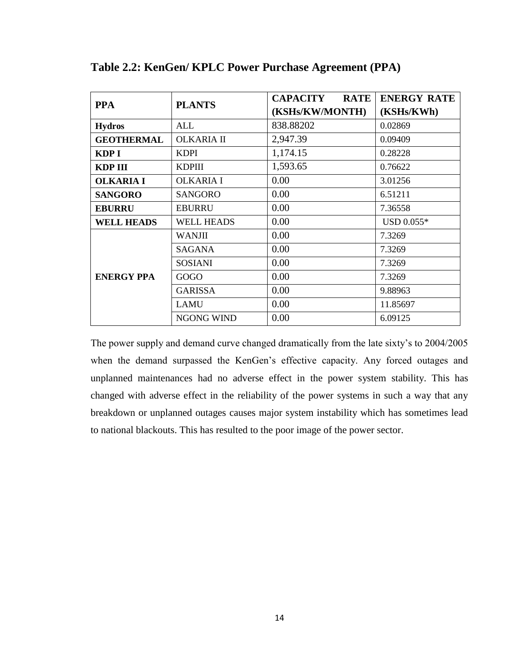| <b>PPA</b>        | <b>PLANTS</b>     | <b>CAPACITY</b><br><b>RATE</b> | <b>ENERGY RATE</b> |  |
|-------------------|-------------------|--------------------------------|--------------------|--|
|                   |                   | (KSHs/KW/MONTH)                | (KSHs/KWh)         |  |
| <b>Hydros</b>     | ALL               | 838.88202                      | 0.02869            |  |
| <b>GEOTHERMAL</b> | <b>OLKARIA II</b> | 2,947.39                       | 0.09409            |  |
| KDP I             | <b>KDPI</b>       | 1,174.15                       | 0.28228            |  |
| KDP III           | <b>KDPIII</b>     | 1,593.65                       | 0.76622            |  |
| <b>OLKARIA I</b>  | <b>OLKARIA I</b>  | 0.00                           | 3.01256<br>6.51211 |  |
| <b>SANGORO</b>    | <b>SANGORO</b>    | 0.00                           |                    |  |
| <b>EBURRU</b>     | <b>EBURRU</b>     | 0.00                           | 7.36558            |  |
| <b>WELL HEADS</b> | <b>WELL HEADS</b> | 0.00                           | USD 0.055*         |  |
|                   | <b>WANJII</b>     | 0.00                           | 7.3269             |  |
|                   | <b>SAGANA</b>     | 0.00                           | 7.3269             |  |
|                   | <b>SOSIANI</b>    | 0.00                           | 7.3269             |  |
| <b>ENERGY PPA</b> | GOGO              | 0.00                           | 7.3269             |  |
|                   | <b>GARISSA</b>    | 0.00                           | 9.88963            |  |
|                   | <b>LAMU</b>       | 0.00                           | 11.85697           |  |
|                   | <b>NGONG WIND</b> | 0.00                           | 6.09125            |  |

<span id="page-24-0"></span>**Table 2.2: KenGen/ KPLC Power Purchase Agreement (PPA)** 

The power supply and demand curve changed dramatically from the late sixty's to 2004/2005 when the demand surpassed the KenGen's effective capacity. Any forced outages and unplanned maintenances had no adverse effect in the power system stability. This has changed with adverse effect in the reliability of the power systems in such a way that any breakdown or unplanned outages causes major system instability which has sometimes lead to national blackouts. This has resulted to the poor image of the power sector.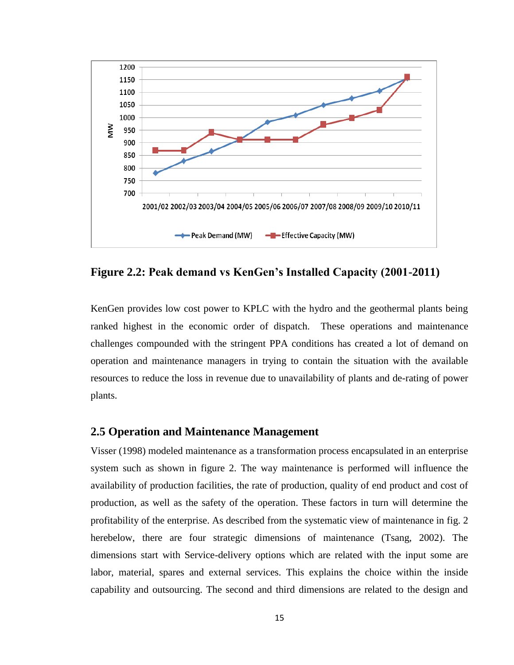

<span id="page-25-1"></span>**Figure 2.2: Peak demand vs KenGen's Installed Capacity (2001-2011)**

KenGen provides low cost power to KPLC with the hydro and the geothermal plants being ranked highest in the economic order of dispatch. These operations and maintenance challenges compounded with the stringent PPA conditions has created a lot of demand on operation and maintenance managers in trying to contain the situation with the available resources to reduce the loss in revenue due to unavailability of plants and de-rating of power plants.

### <span id="page-25-0"></span>**2.5 Operation and Maintenance Management**

Visser (1998) modeled maintenance as a transformation process encapsulated in an enterprise system such as shown in figure 2. The way maintenance is performed will influence the availability of production facilities, the rate of production, quality of end product and cost of production, as well as the safety of the operation. These factors in turn will determine the profitability of the enterprise. As described from the systematic view of maintenance in fig. 2 herebelow, there are four strategic dimensions of maintenance (Tsang, 2002). The dimensions start with Service-delivery options which are related with the input some are labor, material, spares and external services. This explains the choice within the inside capability and outsourcing. The second and third dimensions are related to the design and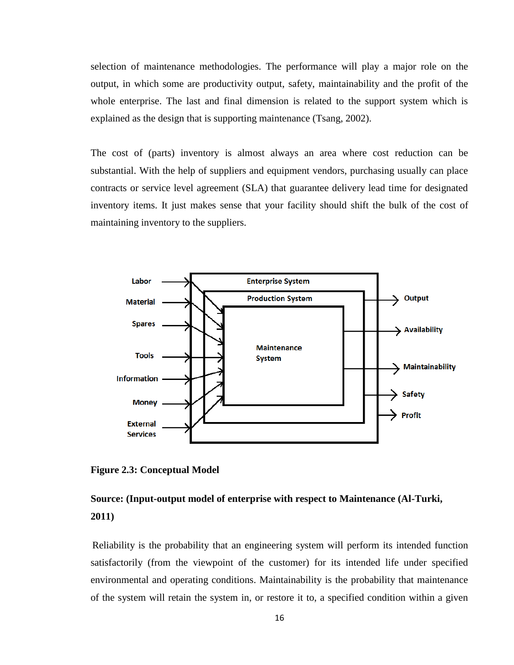selection of maintenance methodologies. The performance will play a major role on the output, in which some are productivity output, safety, maintainability and the profit of the whole enterprise. The last and final dimension is related to the support system which is explained as the design that is supporting maintenance (Tsang, 2002).

The cost of (parts) inventory is almost always an area where cost reduction can be substantial. With the help of suppliers and equipment vendors, purchasing usually can place contracts or service level agreement (SLA) that guarantee delivery lead time for designated inventory items. It just makes sense that your facility should shift the bulk of the cost of maintaining inventory to the suppliers.

<span id="page-26-0"></span>

**Figure 2.3: Conceptual Model**

# **Source: (Input-output model of enterprise with respect to Maintenance (Al-Turki, 2011)**

Reliability is the probability that an engineering system will perform its intended function satisfactorily (from the viewpoint of the customer) for its intended life under specified environmental and operating conditions. Maintainability is the probability that maintenance of the system will retain the system in, or restore it to, a specified condition within a given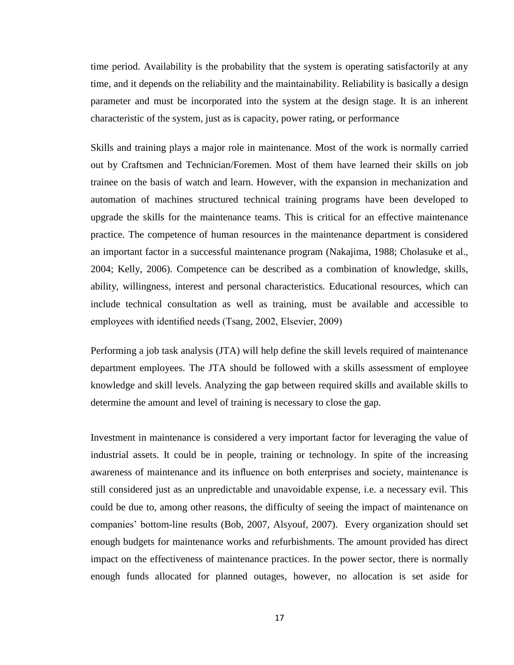time period. Availability is the probability that the system is operating satisfactorily at any time, and it depends on the reliability and the maintainability. Reliability is basically a design parameter and must be incorporated into the system at the design stage. It is an inherent characteristic of the system, just as is capacity, power rating, or performance

Skills and training plays a major role in maintenance. Most of the work is normally carried out by Craftsmen and Technician/Foremen. Most of them have learned their skills on job trainee on the basis of watch and learn. However, with the expansion in mechanization and automation of machines structured technical training programs have been developed to upgrade the skills for the maintenance teams. This is critical for an effective maintenance practice. The competence of human resources in the maintenance department is considered an important factor in a successful maintenance program (Nakajima, 1988; Cholasuke et al., 2004; Kelly, 2006). Competence can be described as a combination of knowledge, skills, ability, willingness, interest and personal characteristics. Educational resources, which can include technical consultation as well as training, must be available and accessible to employees with identified needs (Tsang, 2002, Elsevier, 2009)

Performing a job task analysis (JTA) will help define the skill levels required of maintenance department employees. The JTA should be followed with a skills assessment of employee knowledge and skill levels. Analyzing the gap between required skills and available skills to determine the amount and level of training is necessary to close the gap.

Investment in maintenance is considered a very important factor for leveraging the value of industrial assets. It could be in people, training or technology. In spite of the increasing awareness of maintenance and its influence on both enterprises and society, maintenance is still considered just as an unpredictable and unavoidable expense, i.e. a necessary evil. This could be due to, among other reasons, the difficulty of seeing the impact of maintenance on companies" bottom-line results (Bob, 2007, Alsyouf, 2007). Every organization should set enough budgets for maintenance works and refurbishments. The amount provided has direct impact on the effectiveness of maintenance practices. In the power sector, there is normally enough funds allocated for planned outages, however, no allocation is set aside for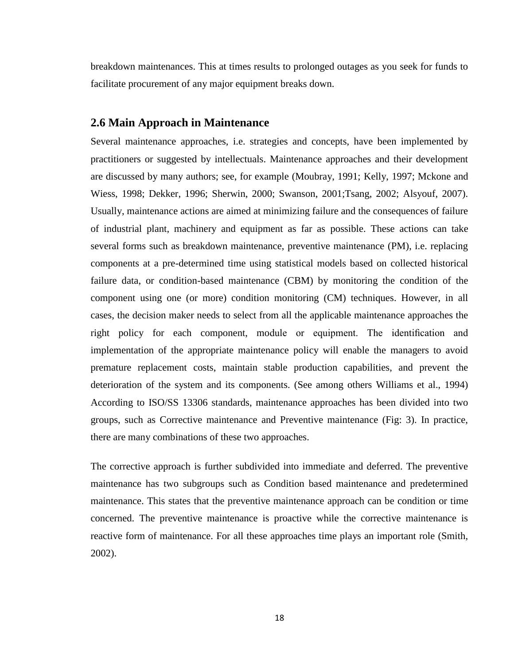breakdown maintenances. This at times results to prolonged outages as you seek for funds to facilitate procurement of any major equipment breaks down.

#### <span id="page-28-0"></span>**2.6 Main Approach in Maintenance**

Several maintenance approaches, i.e. strategies and concepts, have been implemented by practitioners or suggested by intellectuals. Maintenance approaches and their development are discussed by many authors; see, for example (Moubray, 1991; Kelly, 1997; Mckone and Wiess, 1998; Dekker, 1996; Sherwin, 2000; Swanson, 2001;Tsang, 2002; Alsyouf, 2007). Usually, maintenance actions are aimed at minimizing failure and the consequences of failure of industrial plant, machinery and equipment as far as possible. These actions can take several forms such as breakdown maintenance, preventive maintenance (PM), i.e. replacing components at a pre-determined time using statistical models based on collected historical failure data, or condition-based maintenance (CBM) by monitoring the condition of the component using one (or more) condition monitoring (CM) techniques. However, in all cases, the decision maker needs to select from all the applicable maintenance approaches the right policy for each component, module or equipment. The identification and implementation of the appropriate maintenance policy will enable the managers to avoid premature replacement costs, maintain stable production capabilities, and prevent the deterioration of the system and its components. (See among others Williams et al., 1994) According to ISO/SS 13306 standards, maintenance approaches has been divided into two groups, such as Corrective maintenance and Preventive maintenance (Fig: 3). In practice, there are many combinations of these two approaches.

The corrective approach is further subdivided into immediate and deferred. The preventive maintenance has two subgroups such as Condition based maintenance and predetermined maintenance. This states that the preventive maintenance approach can be condition or time concerned. The preventive maintenance is proactive while the corrective maintenance is reactive form of maintenance. For all these approaches time plays an important role (Smith, 2002).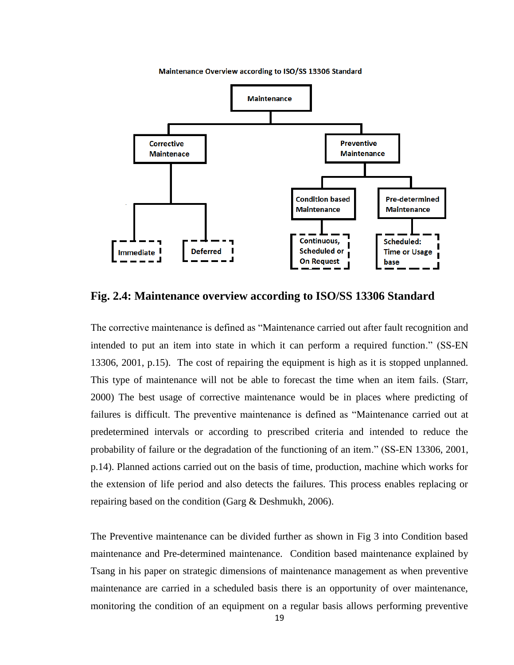

Maintenance Overview according to ISO/SS 13306 Standard

<span id="page-29-0"></span>**Fig. 2.4: Maintenance overview according to ISO/SS 13306 Standard**

The corrective maintenance is defined as "Maintenance carried out after fault recognition and intended to put an item into state in which it can perform a required function." (SS-EN 13306, 2001, p.15). The cost of repairing the equipment is high as it is stopped unplanned. This type of maintenance will not be able to forecast the time when an item fails. (Starr, 2000) The best usage of corrective maintenance would be in places where predicting of failures is difficult. The preventive maintenance is defined as "Maintenance carried out at predetermined intervals or according to prescribed criteria and intended to reduce the probability of failure or the degradation of the functioning of an item." (SS-EN 13306, 2001, p.14). Planned actions carried out on the basis of time, production, machine which works for the extension of life period and also detects the failures. This process enables replacing or repairing based on the condition (Garg & Deshmukh, 2006).

The Preventive maintenance can be divided further as shown in Fig 3 into Condition based maintenance and Pre-determined maintenance. Condition based maintenance explained by Tsang in his paper on strategic dimensions of maintenance management as when preventive maintenance are carried in a scheduled basis there is an opportunity of over maintenance, monitoring the condition of an equipment on a regular basis allows performing preventive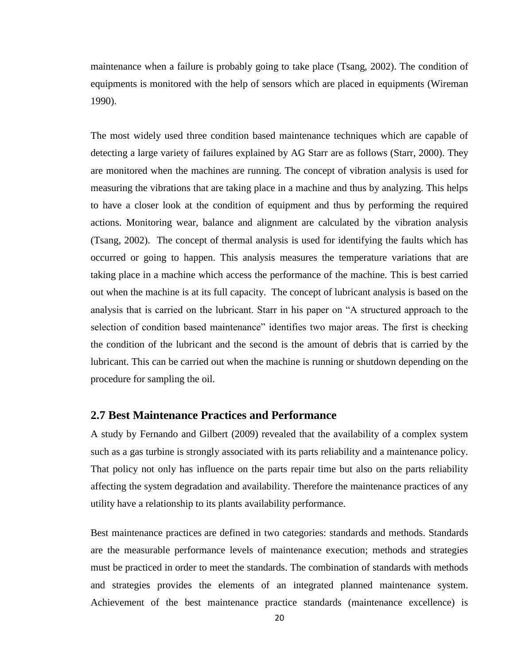maintenance when a failure is probably going to take place (Tsang, 2002). The condition of equipments is monitored with the help of sensors which are placed in equipments (Wireman 1990).

The most widely used three condition based maintenance techniques which are capable of detecting a large variety of failures explained by AG Starr are as follows (Starr, 2000). They are monitored when the machines are running. The concept of vibration analysis is used for measuring the vibrations that are taking place in a machine and thus by analyzing. This helps to have a closer look at the condition of equipment and thus by performing the required actions. Monitoring wear, balance and alignment are calculated by the vibration analysis (Tsang, 2002). The concept of thermal analysis is used for identifying the faults which has occurred or going to happen. This analysis measures the temperature variations that are taking place in a machine which access the performance of the machine. This is best carried out when the machine is at its full capacity. The concept of lubricant analysis is based on the analysis that is carried on the lubricant. Starr in his paper on "A structured approach to the selection of condition based maintenance" identifies two major areas. The first is checking the condition of the lubricant and the second is the amount of debris that is carried by the lubricant. This can be carried out when the machine is running or shutdown depending on the procedure for sampling the oil.

#### <span id="page-30-0"></span>**2.7 Best Maintenance Practices and Performance**

A study by Fernando and Gilbert (2009) revealed that the availability of a complex system such as a gas turbine is strongly associated with its parts reliability and a maintenance policy. That policy not only has influence on the parts repair time but also on the parts reliability affecting the system degradation and availability. Therefore the maintenance practices of any utility have a relationship to its plants availability performance.

Best [maintenance](http://www.mt-online.com/#bmp) practices are defined in two categories: standards and methods. Standards are the measurable performance levels of maintenance execution; methods and strategies must be practiced in order to meet the standards. The combination of standards with methods and strategies provides the elements of an integrated planned maintenance system. Achievement of the best maintenance practice standards (maintenance excellence) is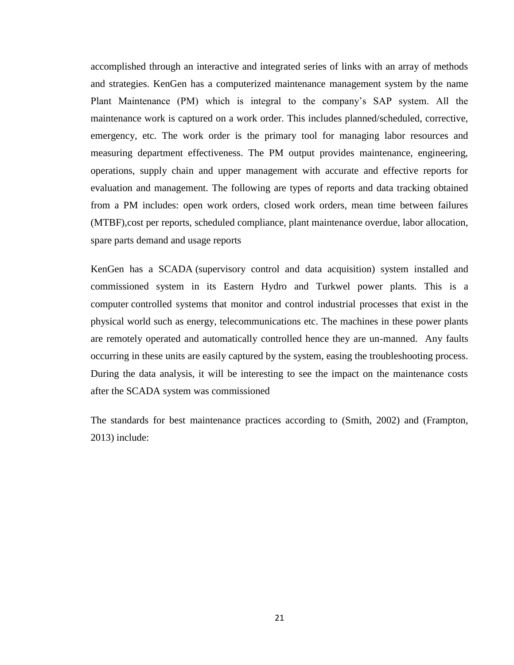accomplished through an interactive and integrated series of links with an array of methods and strategies. KenGen has a computerized maintenance management system by the name Plant Maintenance (PM) which is integral to the company"s SAP system. All the maintenance work is captured on a work order. This includes planned/scheduled, corrective, emergency, etc. The work order is the primary tool for managing labor resources and measuring department effectiveness. The PM output provides maintenance, engineering, operations, supply chain and upper management with accurate and effective reports for evaluation and management. The following are types of reports and data tracking obtained from a PM includes: open work orders, closed work orders, mean time between failures (MTBF),cost per reports, scheduled compliance, plant maintenance overdue, labor allocation, spare parts demand and usage reports

KenGen has a SCADA (supervisory control and data acquisition) system installed and commissioned system in its Eastern Hydro and Turkwel power plants. This is a [computer](http://en.wikipedia.org/wiki/Computer) controlled systems that monitor and control industrial processes that exist in the physical world such as energy, telecommunications etc. The machines in these power plants are remotely operated and automatically controlled hence they are un-manned. Any faults occurring in these units are easily captured by the system, easing the troubleshooting process. During the data analysis, it will be interesting to see the impact on the maintenance costs after the SCADA system was commissioned

The standards for best maintenance practices according to (Smith, 2002) and (Frampton, 2013) include: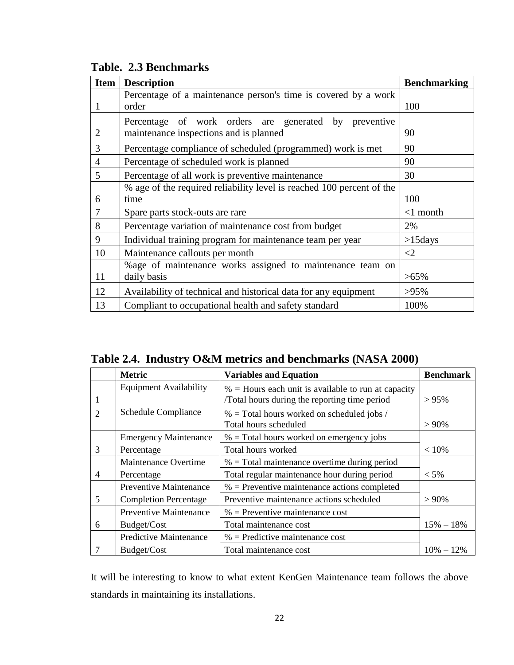<span id="page-32-0"></span>

|  |  | Table. 2.3 Benchmarks |
|--|--|-----------------------|
|--|--|-----------------------|

| <b>Item</b>    | <b>Description</b>                                                    | <b>Benchmarking</b> |
|----------------|-----------------------------------------------------------------------|---------------------|
|                | Percentage of a maintenance person's time is covered by a work        |                     |
| $\mathbf{I}$   | order                                                                 | 100                 |
|                | Percentage of work orders are generated by preventive                 |                     |
| 2              | maintenance inspections and is planned                                | 90                  |
| 3              | Percentage compliance of scheduled (programmed) work is met           | 90                  |
| $\overline{4}$ | Percentage of scheduled work is planned                               | 90                  |
| 5              | Percentage of all work is preventive maintenance                      | 30                  |
|                | % age of the required reliability level is reached 100 percent of the |                     |
| 6              | time                                                                  | 100                 |
| 7              | Spare parts stock-outs are rare                                       | $<1$ month          |
| 8              | Percentage variation of maintenance cost from budget                  | 2%                  |
| 9              | Individual training program for maintenance team per year             | $>15$ days          |
| 10             | Maintenance callouts per month                                        | $\leq$ 2            |
|                | % age of maintenance works assigned to maintenance team on            |                     |
| 11             | daily basis                                                           | $>65\%$             |
| 12             | Availability of technical and historical data for any equipment       | $>95\%$             |
| 13             | Compliant to occupational health and safety standard                  | 100%                |

<span id="page-32-1"></span>**Table 2.4. Industry O&M metrics and benchmarks (NASA 2000)**

|                | <b>Metric</b>                 | <b>Variables and Equation</b>                                         | <b>Benchmark</b> |
|----------------|-------------------------------|-----------------------------------------------------------------------|------------------|
|                | <b>Equipment Availability</b> | $%$ = Hours each unit is available to run at capacity                 |                  |
|                |                               | /Total hours during the reporting time period                         | $> 95\%$         |
| $\overline{2}$ | Schedule Compliance           | $%$ = Total hours worked on scheduled jobs /<br>Total hours scheduled | $> 90\%$         |
|                | <b>Emergency Maintenance</b>  | $%$ = Total hours worked on emergency jobs                            |                  |
| 3              | Percentage                    | Total hours worked                                                    | < 10%            |
|                | Maintenance Overtime          | $%$ = Total maintenance overtime during period                        |                  |
| 4              | Percentage                    | Total regular maintenance hour during period                          | $< 5\%$          |
|                | <b>Preventive Maintenance</b> | $%$ = Preventive maintenance actions completed                        |                  |
| 5              | <b>Completion Percentage</b>  | Preventive maintenance actions scheduled                              | $> 90\%$         |
|                | <b>Preventive Maintenance</b> | $%$ = Preventive maintenance cost                                     |                  |
| 6              | Budget/Cost                   | Total maintenance cost                                                | $15\% - 18\%$    |
|                | <b>Predictive Maintenance</b> | $%$ = Predictive maintenance cost                                     |                  |
|                | Budget/Cost                   | Total maintenance cost                                                | $10\% - 12\%$    |

It will be interesting to know to what extent KenGen Maintenance team follows the above standards in maintaining its installations.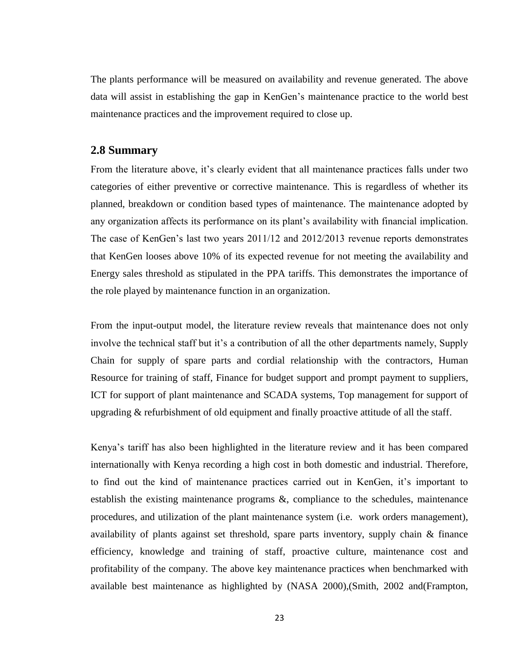The plants performance will be measured on availability and revenue generated. The above data will assist in establishing the gap in KenGen"s maintenance practice to the world best maintenance practices and the improvement required to close up.

#### <span id="page-33-0"></span>**2.8 Summary**

From the literature above, it's clearly evident that all maintenance practices falls under two categories of either preventive or corrective maintenance. This is regardless of whether its planned, breakdown or condition based types of maintenance. The maintenance adopted by any organization affects its performance on its plant's availability with financial implication. The case of KenGen"s last two years 2011/12 and 2012/2013 revenue reports demonstrates that KenGen looses above 10% of its expected revenue for not meeting the availability and Energy sales threshold as stipulated in the PPA tariffs. This demonstrates the importance of the role played by maintenance function in an organization.

From the input-output model, the literature review reveals that maintenance does not only involve the technical staff but it's a contribution of all the other departments namely, Supply Chain for supply of spare parts and cordial relationship with the contractors, Human Resource for training of staff, Finance for budget support and prompt payment to suppliers, ICT for support of plant maintenance and SCADA systems, Top management for support of upgrading & refurbishment of old equipment and finally proactive attitude of all the staff.

Kenya"s tariff has also been highlighted in the literature review and it has been compared internationally with Kenya recording a high cost in both domestic and industrial. Therefore, to find out the kind of maintenance practices carried out in KenGen, it's important to establish the existing maintenance programs &, compliance to the schedules, maintenance procedures, and utilization of the plant maintenance system (i.e. work orders management), availability of plants against set threshold, spare parts inventory, supply chain & finance efficiency, knowledge and training of staff, proactive culture, maintenance cost and profitability of the company. The above key maintenance practices when benchmarked with available best maintenance as highlighted by (NASA 2000),(Smith, 2002 and(Frampton,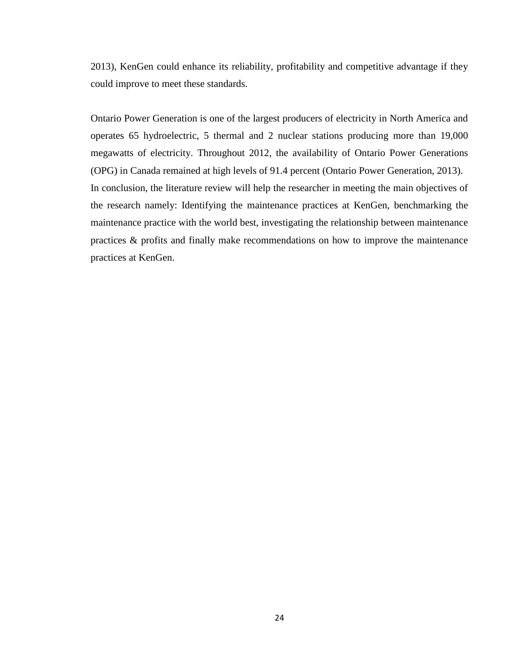2013), KenGen could enhance its reliability, profitability and competitive advantage if they could improve to meet these standards.

Ontario Power Generation is one of the largest producers of electricity in North America and operates [65 hydroelectric,](http://www.opg.com/power/hydro/) [5 thermal](http://www.opg.com/power/thermal/) and [2 nuclear](http://www.opg.com/power/nuclear/) stations producing more than 19,000 megawatts of electricity. Throughout 2012, the availability of Ontario Power Generations (OPG) in Canada remained at high levels of 91.4 percent (Ontario Power Generation, 2013). In conclusion, the literature review will help the researcher in meeting the main objectives of the research namely: Identifying the maintenance practices at KenGen, benchmarking the maintenance practice with the world best, investigating the relationship between maintenance practices & profits and finally make recommendations on how to improve the maintenance practices at KenGen.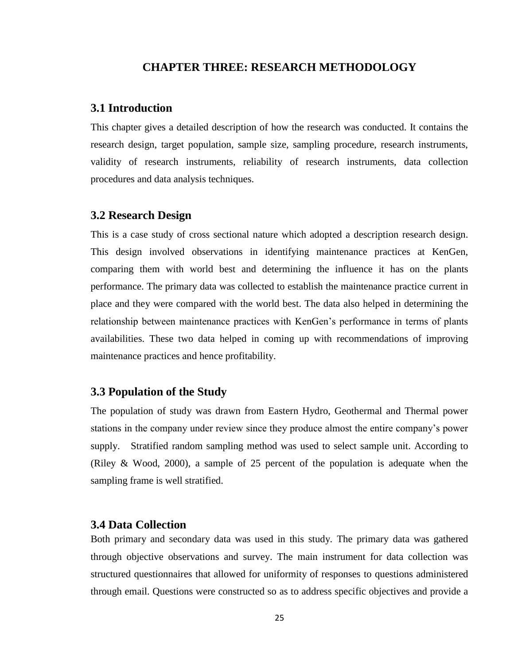#### **CHAPTER THREE: RESEARCH METHODOLOGY**

#### <span id="page-35-1"></span><span id="page-35-0"></span>**3.1 Introduction**

This chapter gives a detailed description of how the research was conducted. It contains the research design, target population, sample size, sampling procedure, research instruments, validity of research instruments, reliability of research instruments, data collection procedures and data analysis techniques.

#### <span id="page-35-2"></span>**3.2 Research Design**

This is a case study of cross sectional nature which adopted a description research design. This design involved observations in identifying maintenance practices at KenGen, comparing them with world best and determining the influence it has on the plants performance. The primary data was collected to establish the maintenance practice current in place and they were compared with the world best. The data also helped in determining the relationship between maintenance practices with KenGen"s performance in terms of plants availabilities. These two data helped in coming up with recommendations of improving maintenance practices and hence profitability.

#### <span id="page-35-3"></span>**3.3 Population of the Study**

The population of study was drawn from Eastern Hydro, Geothermal and Thermal power stations in the company under review since they produce almost the entire company"s power supply. Stratified random sampling method was used to select sample unit. According to (Riley & Wood, 2000), a sample of 25 percent of the population is adequate when the sampling frame is well stratified.

### <span id="page-35-4"></span>**3.4 Data Collection**

Both primary and secondary data was used in this study. The primary data was gathered through objective observations and survey. The main instrument for data collection was structured questionnaires that allowed for uniformity of responses to questions administered through email. Questions were constructed so as to address specific objectives and provide a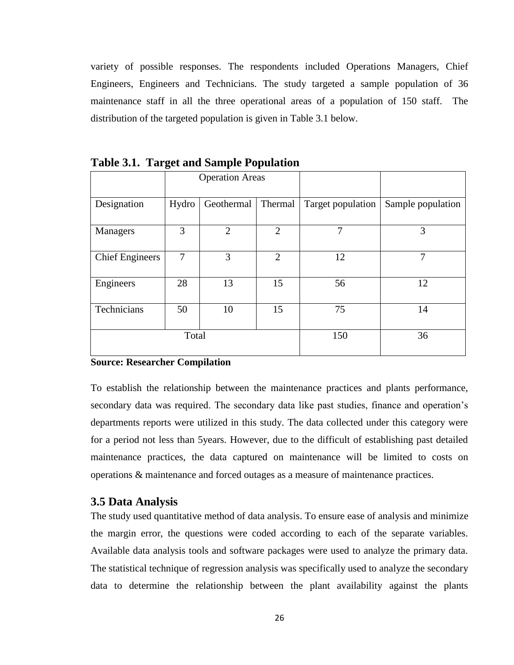variety of possible responses. The respondents included Operations Managers, Chief Engineers, Engineers and Technicians. The study targeted a sample population of 36 maintenance staff in all the three operational areas of a population of 150 staff. The distribution of the targeted population is given in Table 3.1 below.

|                               | <b>Operation Areas</b> |                |                |                   |                   |
|-------------------------------|------------------------|----------------|----------------|-------------------|-------------------|
| Designation                   | Hydro                  | Geothermal     | Thermal        | Target population | Sample population |
| Managers                      | 3                      | $\overline{2}$ | $\overline{2}$ | 7                 | 3                 |
| <b>Chief Engineers</b>        | 7                      | 3              | $\overline{2}$ | 12                | 7                 |
| Engineers                     | 28                     | 13             | 15             | 56                | 12                |
| Technicians<br>15<br>50<br>10 |                        | 75             | 14             |                   |                   |
| Total                         |                        |                | 150            | 36                |                   |

<span id="page-36-1"></span>**Table 3.1. Target and Sample Population**

#### **Source: Researcher Compilation**

To establish the relationship between the maintenance practices and plants performance, secondary data was required. The secondary data like past studies, finance and operation"s departments reports were utilized in this study. The data collected under this category were for a period not less than 5years. However, due to the difficult of establishing past detailed maintenance practices, the data captured on maintenance will be limited to costs on operations & maintenance and forced outages as a measure of maintenance practices.

#### <span id="page-36-0"></span>**3.5 Data Analysis**

The study used quantitative method of data analysis. To ensure ease of analysis and minimize the margin error, the questions were coded according to each of the separate variables. Available data analysis tools and software packages were used to analyze the primary data. The statistical technique of regression analysis was specifically used to analyze the secondary data to determine the relationship between the plant availability against the plants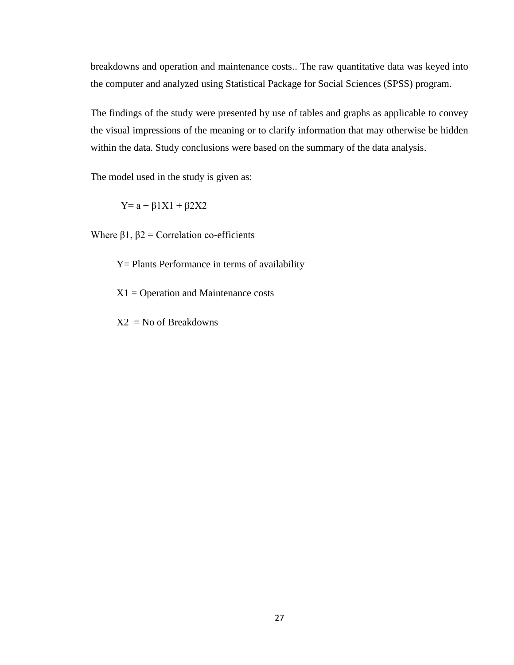breakdowns and operation and maintenance costs.. The raw quantitative data was keyed into the computer and analyzed using Statistical Package for Social Sciences (SPSS) program.

The findings of the study were presented by use of tables and graphs as applicable to convey the visual impressions of the meaning or to clarify information that may otherwise be hidden within the data. Study conclusions were based on the summary of the data analysis.

The model used in the study is given as:

 $Y= a + β1X1 + β2X2$ 

Where  $\beta$ 1,  $\beta$ 2 = Correlation co-efficients

Y= Plants Performance in terms of availability

 $X1 =$  Operation and Maintenance costs

 $X2 = No$  of Breakdowns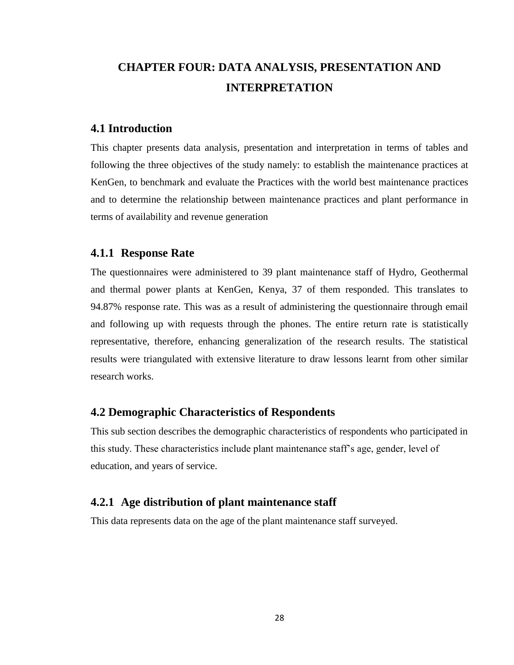# <span id="page-38-0"></span>**CHAPTER FOUR: DATA ANALYSIS, PRESENTATION AND INTERPRETATION**

#### <span id="page-38-1"></span>**4.1 Introduction**

This chapter presents data analysis, presentation and interpretation in terms of tables and following the three objectives of the study namely: to establish the maintenance practices at KenGen, to benchmark and evaluate the Practices with the world best maintenance practices and to determine the relationship between maintenance practices and plant performance in terms of availability and revenue generation

#### <span id="page-38-2"></span>**4.1.1 Response Rate**

The questionnaires were administered to 39 plant maintenance staff of Hydro, Geothermal and thermal power plants at KenGen, Kenya, 37 of them responded. This translates to 94.87% response rate. This was as a result of administering the questionnaire through email and following up with requests through the phones. The entire return rate is statistically representative, therefore, enhancing generalization of the research results. The statistical results were triangulated with extensive literature to draw lessons learnt from other similar research works.

### <span id="page-38-3"></span>**4.2 Demographic Characteristics of Respondents**

This sub section describes the demographic characteristics of respondents who participated in this study. These characteristics include plant maintenance staff"s age, gender, level of education, and years of service.

#### <span id="page-38-4"></span>**4.2.1 Age distribution of plant maintenance staff**

This data represents data on the age of the plant maintenance staff surveyed.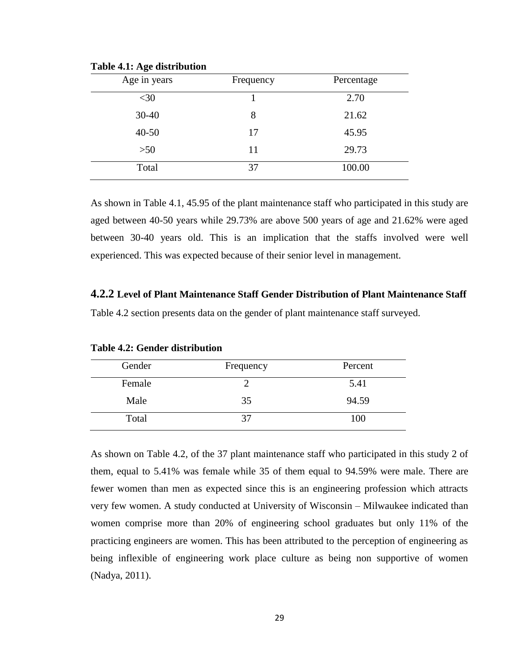<span id="page-39-1"></span>

| Age in years | Frequency | Percentage |
|--------------|-----------|------------|
| $<$ 30       |           | 2.70       |
| $30 - 40$    | 8         | 21.62      |
| $40 - 50$    | 17        | 45.95      |
| $>50$        | 11        | 29.73      |
| Total        | 37        | 100.00     |

**Table 4.1: Age distribution**

As shown in Table 4.1, 45.95 of the plant maintenance staff who participated in this study are aged between 40-50 years while 29.73% are above 500 years of age and 21.62% were aged between 30-40 years old. This is an implication that the staffs involved were well experienced. This was expected because of their senior level in management.

#### <span id="page-39-0"></span>**4.2.2 Level of Plant Maintenance Staff Gender Distribution of Plant Maintenance Staff**

Table 4.2 section presents data on the gender of plant maintenance staff surveyed.

| Gender | Frequency | Percent |
|--------|-----------|---------|
| Female |           | 5.41    |
| Male   | 35        | 94.59   |
| Total  | 37        | 100     |

<span id="page-39-2"></span>**Table 4.2: Gender distribution** 

As shown on Table 4.2, of the 37 plant maintenance staff who participated in this study 2 of them, equal to 5.41% was female while 35 of them equal to 94.59% were male. There are fewer women than men as expected since this is an engineering profession which attracts very few women. A study conducted at University of Wisconsin – Milwaukee indicated than women comprise more than 20% of engineering school graduates but only 11% of the practicing engineers are women. This has been attributed to the perception of engineering as being inflexible of engineering work place culture as being non supportive of women (Nadya, 2011).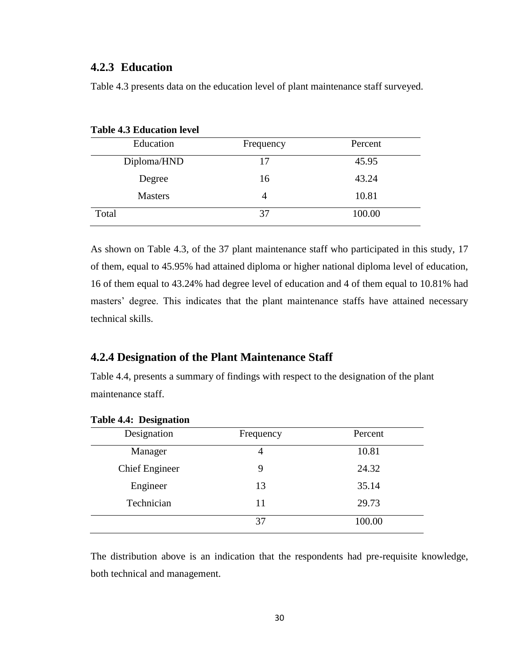### <span id="page-40-0"></span>**4.2.3 Education**

<span id="page-40-2"></span>

| <b>Table 4.3 Education level</b> |           |         |  |  |  |
|----------------------------------|-----------|---------|--|--|--|
| Education                        | Frequency | Percent |  |  |  |
| Diploma/HND                      | 17        | 45.95   |  |  |  |
| Degree                           | 16        | 43.24   |  |  |  |
| <b>Masters</b>                   | 4         | 10.81   |  |  |  |
| Total                            | 37        | 100.00  |  |  |  |

Table 4.3 presents data on the education level of plant maintenance staff surveyed.

As shown on Table 4.3, of the 37 plant maintenance staff who participated in this study, 17 of them, equal to 45.95% had attained diploma or higher national diploma level of education, 16 of them equal to 43.24% had degree level of education and 4 of them equal to 10.81% had masters' degree. This indicates that the plant maintenance staffs have attained necessary technical skills.

# <span id="page-40-1"></span>**4.2.4 Designation of the Plant Maintenance Staff**

Table 4.4, presents a summary of findings with respect to the designation of the plant maintenance staff.

| $1400 \times 7.7$ . Designation |           |         |
|---------------------------------|-----------|---------|
| Designation                     | Frequency | Percent |
| Manager                         | 4         | 10.81   |
| <b>Chief Engineer</b>           | 9         | 24.32   |
| Engineer                        | 13        | 35.14   |
| Technician                      | 11        | 29.73   |
|                                 | 37        | 100.00  |

#### <span id="page-40-3"></span>**Table 4.4: Designation**

The distribution above is an indication that the respondents had pre-requisite knowledge, both technical and management.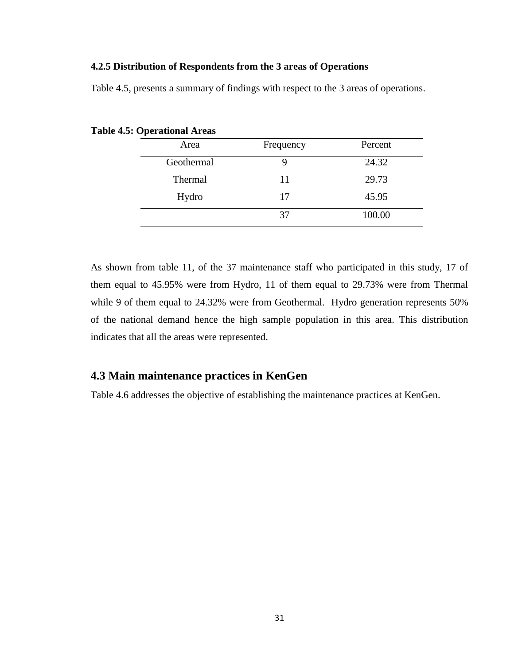#### **4.2.5 Distribution of Respondents from the 3 areas of Operations**

<span id="page-41-1"></span>**Table 4.5: Operational Areas**

| Area       | Frequency | Percent |
|------------|-----------|---------|
| Geothermal |           | 24.32   |
| Thermal    | 11        | 29.73   |
| Hydro      | 17        | 45.95   |
|            | 37        | 100.00  |

Table 4.5, presents a summary of findings with respect to the 3 areas of operations.

As shown from table 11, of the 37 maintenance staff who participated in this study, 17 of them equal to 45.95% were from Hydro, 11 of them equal to 29.73% were from Thermal while 9 of them equal to 24.32% were from Geothermal. Hydro generation represents 50% of the national demand hence the high sample population in this area. This distribution indicates that all the areas were represented.

# <span id="page-41-0"></span>**4.3 Main maintenance practices in KenGen**

Table 4.6 addresses the objective of establishing the maintenance practices at KenGen.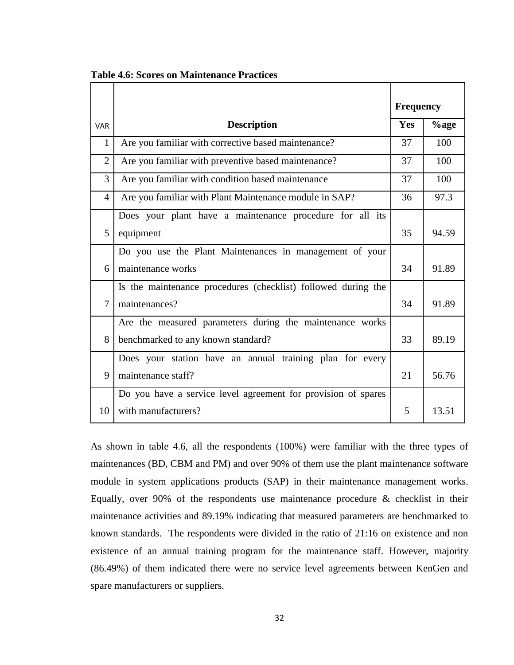|                |                                                               | <b>Frequency</b> |       |  |
|----------------|---------------------------------------------------------------|------------------|-------|--|
| <b>VAR</b>     | <b>Description</b>                                            | Yes              | %age  |  |
| $\mathbf{1}$   | Are you familiar with corrective based maintenance?           | 37               | 100   |  |
| $\overline{2}$ | Are you familiar with preventive based maintenance?           | 37               | 100   |  |
| 3              | Are you familiar with condition based maintenance             | 37               | 100   |  |
| 4              | Are you familiar with Plant Maintenance module in SAP?        | 36               | 97.3  |  |
|                | Does your plant have a maintenance procedure for all its      |                  |       |  |
| 5              | equipment                                                     | 35               | 94.59 |  |
|                | Do you use the Plant Maintenances in management of your       |                  |       |  |
| 6              | maintenance works                                             | 34               | 91.89 |  |
|                | Is the maintenance procedures (checklist) followed during the |                  |       |  |
| $\overline{7}$ | maintenances?                                                 | 34               | 91.89 |  |
|                | Are the measured parameters during the maintenance works      |                  |       |  |
| 8              | benchmarked to any known standard?                            | 33               | 89.19 |  |
|                | Does your station have an annual training plan for every      |                  |       |  |
| 9              | maintenance staff?                                            | 21               | 56.76 |  |
|                | Do you have a service level agreement for provision of spares |                  |       |  |
| 10             | with manufacturers?                                           | 5                | 13.51 |  |

<span id="page-42-0"></span>**Table 4.6: Scores on Maintenance Practices**

As shown in table 4.6, all the respondents (100%) were familiar with the three types of maintenances (BD, CBM and PM) and over 90% of them use the plant maintenance software module in system applications products (SAP) in their maintenance management works. Equally, over 90% of the respondents use maintenance procedure & checklist in their maintenance activities and 89.19% indicating that measured parameters are benchmarked to known standards. The respondents were divided in the ratio of 21:16 on existence and non existence of an annual training program for the maintenance staff. However, majority (86.49%) of them indicated there were no service level agreements between KenGen and spare manufacturers or suppliers.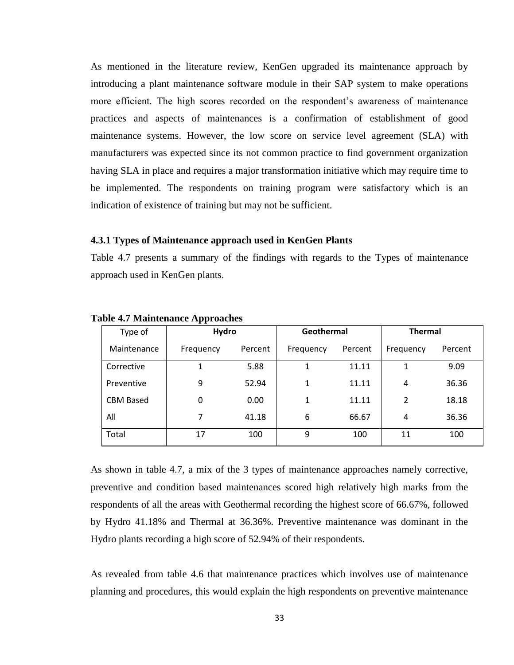As mentioned in the literature review, KenGen upgraded its maintenance approach by introducing a plant maintenance software module in their SAP system to make operations more efficient. The high scores recorded on the respondent's awareness of maintenance practices and aspects of maintenances is a confirmation of establishment of good maintenance systems. However, the low score on service level agreement (SLA) with manufacturers was expected since its not common practice to find government organization having SLA in place and requires a major transformation initiative which may require time to be implemented. The respondents on training program were satisfactory which is an indication of existence of training but may not be sufficient.

#### <span id="page-43-0"></span>**4.3.1 Types of Maintenance approach used in KenGen Plants**

Table 4.7 presents a summary of the findings with regards to the Types of maintenance approach used in KenGen plants.

| Type of          | Hydro     |         | Geothermal |         | <b>Thermal</b> |         |
|------------------|-----------|---------|------------|---------|----------------|---------|
| Maintenance      | Frequency | Percent | Frequency  | Percent | Frequency      | Percent |
| Corrective       |           | 5.88    | 1          | 11.11   |                | 9.09    |
| Preventive       | 9         | 52.94   | 1          | 11.11   | 4              | 36.36   |
| <b>CBM Based</b> | 0         | 0.00    | 1          | 11.11   | 2              | 18.18   |
| All              | 7         | 41.18   | 6          | 66.67   | 4              | 36.36   |
| Total            | 17        | 100     | 9          | 100     | 11             | 100     |

<span id="page-43-1"></span>**Table 4.7 Maintenance Approaches**

As shown in table 4.7, a mix of the 3 types of maintenance approaches namely corrective, preventive and condition based maintenances scored high relatively high marks from the respondents of all the areas with Geothermal recording the highest score of 66.67%, followed by Hydro 41.18% and Thermal at 36.36%. Preventive maintenance was dominant in the Hydro plants recording a high score of 52.94% of their respondents.

As revealed from table 4.6 that maintenance practices which involves use of maintenance planning and procedures, this would explain the high respondents on preventive maintenance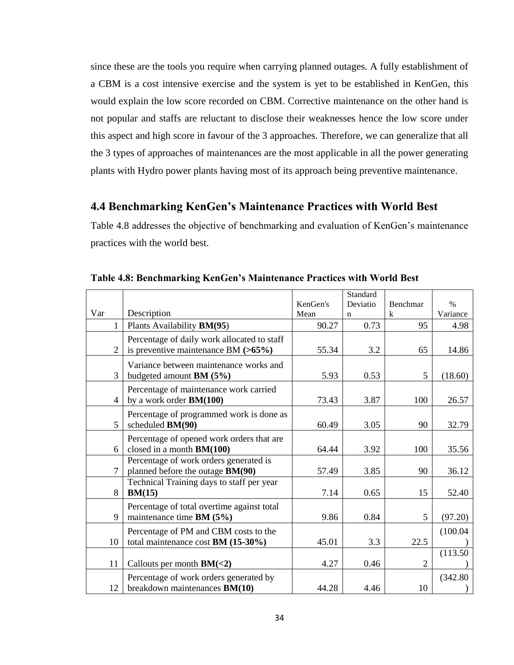since these are the tools you require when carrying planned outages. A fully establishment of a CBM is a cost intensive exercise and the system is yet to be established in KenGen, this would explain the low score recorded on CBM. Corrective maintenance on the other hand is not popular and staffs are reluctant to disclose their weaknesses hence the low score under this aspect and high score in favour of the 3 approaches. Therefore, we can generalize that all the 3 types of approaches of maintenances are the most applicable in all the power generating plants with Hydro power plants having most of its approach being preventive maintenance.

### <span id="page-44-0"></span>**4.4 Benchmarking KenGen's Maintenance Practices with World Best**

Table 4.8 addresses the objective of benchmarking and evaluation of KenGen's maintenance practices with the world best.

|                |                                                                                      |                  | Standard                |                         |                  |
|----------------|--------------------------------------------------------------------------------------|------------------|-------------------------|-------------------------|------------------|
| Var            | Description                                                                          | KenGen's<br>Mean | Deviatio<br>$\mathbf n$ | Benchmar<br>$\mathbf k$ | $\%$<br>Variance |
| 1              | Plants Availability <b>BM(95)</b>                                                    | 90.27            | 0.73                    | 95                      | 4.98             |
|                |                                                                                      |                  |                         |                         |                  |
| $\overline{2}$ | Percentage of daily work allocated to staff<br>is preventive maintenance BM $(>65%)$ | 55.34            | 3.2                     | 65                      | 14.86            |
| 3              | Variance between maintenance works and<br>budgeted amount BM (5%)                    | 5.93             | 0.53                    | 5                       | (18.60)          |
| 4              | Percentage of maintenance work carried<br>by a work order <b>BM(100)</b>             | 73.43            | 3.87                    | 100                     | 26.57            |
| 5              | Percentage of programmed work is done as<br>scheduled BM(90)                         | 60.49            | 3.05                    | 90                      | 32.79            |
| 6              | Percentage of opened work orders that are<br>closed in a month BM(100)               | 64.44            | 3.92                    | 100                     | 35.56            |
| $\overline{7}$ | Percentage of work orders generated is<br>planned before the outage BM(90)           | 57.49            | 3.85                    | 90                      | 36.12            |
| 8              | Technical Training days to staff per year<br>BM(15)                                  | 7.14             | 0.65                    | 15                      | 52.40            |
| 9              | Percentage of total overtime against total<br>maintenance time $BM (5\%)$            | 9.86             | 0.84                    | 5                       | (97.20)          |
| 10             | Percentage of PM and CBM costs to the<br>total maintenance cost BM (15-30%)          | 45.01            | 3.3                     | 22.5                    | (100.04)         |
|                |                                                                                      |                  |                         |                         | (113.50)         |
| 11             | Callouts per month $BM(<2)$                                                          | 4.27             | 0.46                    | $\overline{2}$          |                  |
| 12             | Percentage of work orders generated by<br>breakdown maintenances BM(10)              | 44.28            | 4.46                    | 10                      | (342.80)         |

<span id="page-44-1"></span>**Table 4.8: Benchmarking KenGen's Maintenance Practices with World Best**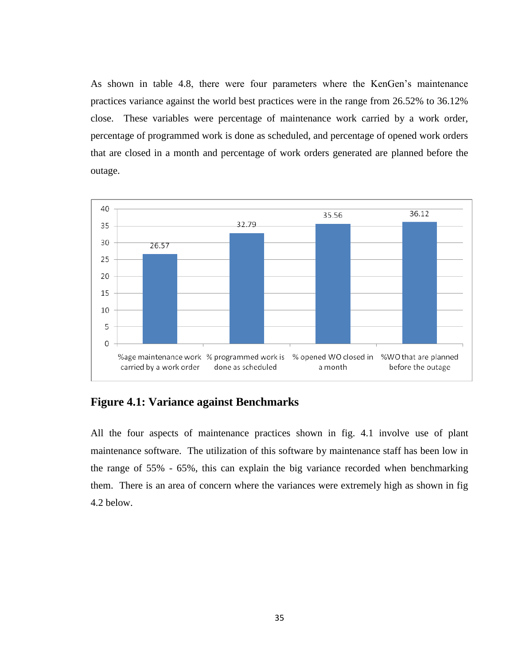As shown in table 4.8, there were four parameters where the KenGen"s maintenance practices variance against the world best practices were in the range from 26.52% to 36.12% close. These variables were percentage of maintenance work carried by a work order, percentage of programmed work is done as scheduled, and percentage of opened work orders that are closed in a month and percentage of work orders generated are planned before the outage.



<span id="page-45-0"></span>**Figure 4.1: Variance against Benchmarks**

All the four aspects of maintenance practices shown in fig. 4.1 involve use of plant maintenance software. The utilization of this software by maintenance staff has been low in the range of 55% - 65%, this can explain the big variance recorded when benchmarking them. There is an area of concern where the variances were extremely high as shown in fig 4.2 below.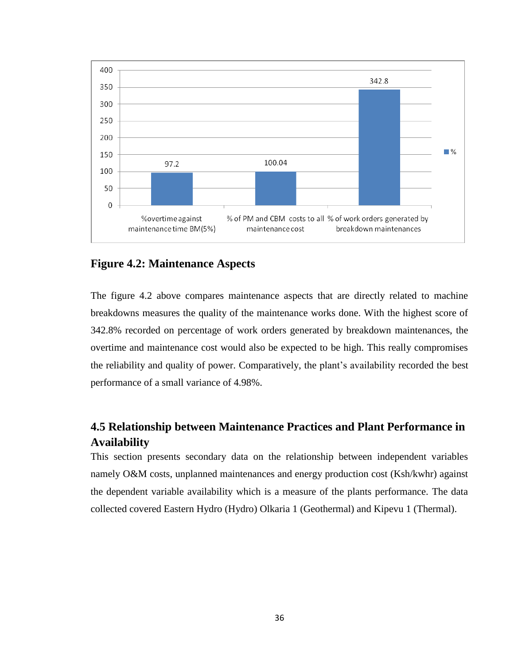

## <span id="page-46-1"></span>**Figure 4.2: Maintenance Aspects**

The figure 4.2 above compares maintenance aspects that are directly related to machine breakdowns measures the quality of the maintenance works done. With the highest score of 342.8% recorded on percentage of work orders generated by breakdown maintenances, the overtime and maintenance cost would also be expected to be high. This really compromises the reliability and quality of power. Comparatively, the plant"s availability recorded the best performance of a small variance of 4.98%.

# <span id="page-46-0"></span>**4.5 Relationship between Maintenance Practices and Plant Performance in Availability**

This section presents secondary data on the relationship between independent variables namely O&M costs, unplanned maintenances and energy production cost (Ksh/kwhr) against the dependent variable availability which is a measure of the plants performance. The data collected covered Eastern Hydro (Hydro) Olkaria 1 (Geothermal) and Kipevu 1 (Thermal).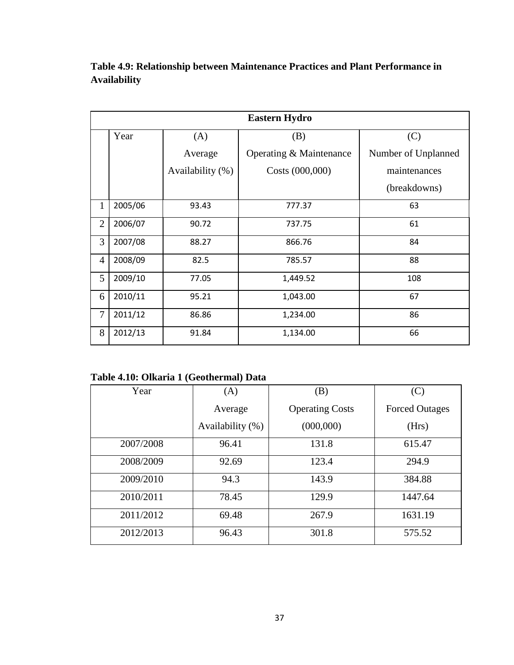|                | <b>Eastern Hydro</b> |                  |                         |                     |  |
|----------------|----------------------|------------------|-------------------------|---------------------|--|
|                | Year                 | (A)              | (B)                     | (C)                 |  |
|                |                      | Average          | Operating & Maintenance | Number of Unplanned |  |
|                |                      | Availability (%) | Costs (000,000)         | maintenances        |  |
|                |                      |                  |                         | (breakdowns)        |  |
| 1              | 2005/06              | 93.43            | 777.37                  | 63                  |  |
| $\overline{2}$ | 2006/07              | 90.72            | 737.75                  | 61                  |  |
| 3              | 2007/08              | 88.27            | 866.76                  | 84                  |  |
| $\overline{4}$ | 2008/09              | 82.5             | 785.57                  | 88                  |  |
| 5              | 2009/10              | 77.05            | 1,449.52                | 108                 |  |
| 6              | 2010/11              | 95.21            | 1,043.00                | 67                  |  |
| $\overline{7}$ | 2011/12              | 86.86            | 1,234.00                | 86                  |  |
| 8              | 2012/13              | 91.84            | 1,134.00                | 66                  |  |

<span id="page-47-0"></span>**Table 4.9: Relationship between Maintenance Practices and Plant Performance in Availability**

<span id="page-47-1"></span>**Table 4.10: Olkaria 1 (Geothermal) Data**

| Year      | (A)              | (B)                    | (C)                   |
|-----------|------------------|------------------------|-----------------------|
|           | Average          | <b>Operating Costs</b> | <b>Forced Outages</b> |
|           | Availability (%) | (000,000)              | (Hrs)                 |
| 2007/2008 | 96.41            | 131.8                  | 615.47                |
| 2008/2009 | 92.69            | 123.4                  | 294.9                 |
| 2009/2010 | 94.3             | 143.9                  | 384.88                |
| 2010/2011 | 78.45            | 129.9                  | 1447.64               |
| 2011/2012 | 69.48            | 267.9                  | 1631.19               |
| 2012/2013 | 96.43            | 301.8                  | 575.52                |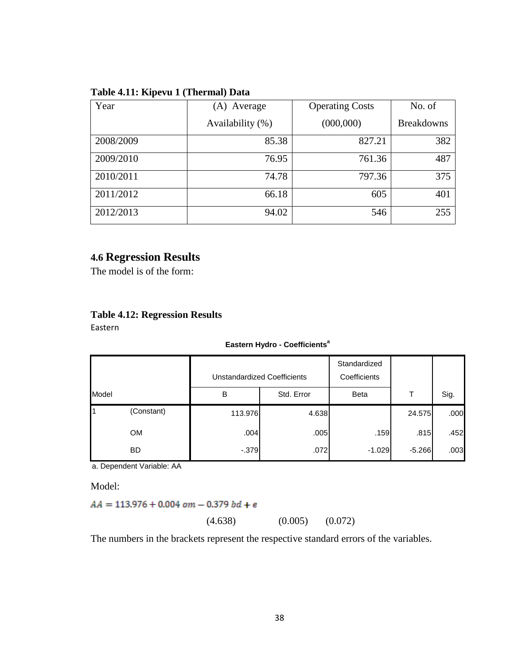| Year      | Average<br>(A)   | <b>Operating Costs</b> | No. of            |
|-----------|------------------|------------------------|-------------------|
|           | Availability (%) | (000,000)              | <b>Breakdowns</b> |
| 2008/2009 | 85.38            | 827.21                 | 382               |
| 2009/2010 | 76.95            | 761.36                 | 487               |
| 2010/2011 | 74.78            | 797.36                 | 375               |
| 2011/2012 | 66.18            | 605                    | 401               |
| 2012/2013 | 94.02            | 546                    | 255               |

#### <span id="page-48-1"></span>**Table 4.11: Kipevu 1 (Thermal) Data**

# <span id="page-48-0"></span>**4.6 Regression Results**

The model is of the form:

## <span id="page-48-2"></span>**Table 4.12: Regression Results**

Eastern

#### **Eastern Hydro - Coefficients<sup>a</sup>**

|       |            |         | Unstandardized Coefficients | Standardized<br>Coefficients |          |      |
|-------|------------|---------|-----------------------------|------------------------------|----------|------|
| Model |            | B       | Std. Error                  | <b>Beta</b>                  |          | Sig. |
|       | (Constant) | 113.976 | 4.638                       |                              | 24.575   | .000 |
|       | OM.        | .004    | .005                        | .159                         | .815     | .452 |
|       | <b>BD</b>  | $-379$  | .072                        | $-1.029$                     | $-5.266$ | .003 |

a. Dependent Variable: AA

Model:

 $AA = 113.976 + 0.004$  om - 0.379 bd + e

(4.638) (0.005) (0.072)

The numbers in the brackets represent the respective standard errors of the variables.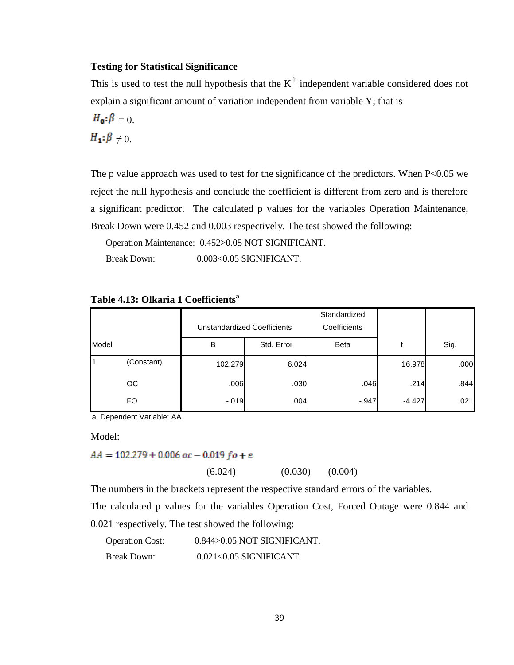#### **Testing for Statistical Significance**

This is used to test the null hypothesis that the  $K<sup>th</sup>$  independent variable considered does not explain a significant amount of variation independent from variable Y; that is

$$
H_{0}:\beta=0.
$$
  

$$
H_{1}:\beta \neq 0.
$$

The p value approach was used to test for the significance of the predictors. When P<0.05 we reject the null hypothesis and conclude the coefficient is different from zero and is therefore a significant predictor. The calculated p values for the variables Operation Maintenance, Break Down were 0.452 and 0.003 respectively. The test showed the following:

Operation Maintenance: 0.452>0.05 NOT SIGNIFICANT.

Break Down: 0.003<0.05 SIGNIFICANT.

| Unstandardized Coefficients |            | Standardized<br>Coefficients |            |             |          |      |
|-----------------------------|------------|------------------------------|------------|-------------|----------|------|
| Model                       |            | в                            | Std. Error | <b>Beta</b> |          | Sig. |
|                             | (Constant) | 102.279                      | 6.024      |             | 16.978   | .000 |
|                             | <b>OC</b>  | .006                         | .030       | .046        | .214     | .844 |
|                             | <b>FO</b>  | $-0.019$                     | .004       | $-0.947$    | $-4.427$ | .021 |

#### <span id="page-49-0"></span>**Table 4.13: Olkaria 1 Coefficients<sup>a</sup>**

a. Dependent Variable: AA

Model:

 $AA = 102.279 + 0.006$  oc - 0.019 fo + e

 $(6.024)$   $(0.030)$   $(0.004)$ 

The numbers in the brackets represent the respective standard errors of the variables.

The calculated p values for the variables Operation Cost, Forced Outage were 0.844 and 0.021 respectively. The test showed the following:

```
Operation Cost: 0.844>0.05 NOT SIGNIFICANT.
Break Down: 0.021<0.05 SIGNIFICANT.
```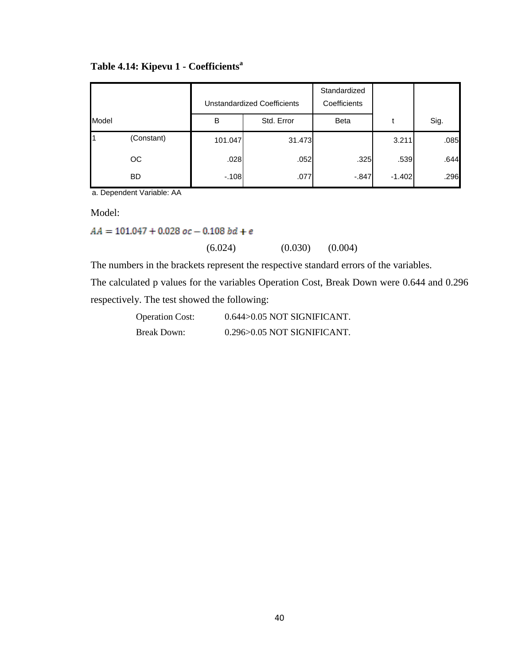|       |            |         | <b>Unstandardized Coefficients</b> | Standardized<br>Coefficients |          |      |
|-------|------------|---------|------------------------------------|------------------------------|----------|------|
| Model |            | B       | Std. Error                         | <b>Beta</b>                  |          | Sig. |
|       | (Constant) | 101.047 | 31.473                             |                              | 3.211    | .085 |
|       | OC.        | .028    | .052                               | .325                         | .539     | .644 |
|       | <b>BD</b>  | $-108$  | .077                               | $-.847$                      | $-1.402$ | .296 |

## <span id="page-50-0"></span>**Table 4.14: Kipevu 1 - Coefficients<sup>a</sup>**

a. Dependent Variable: AA

Model:

 $AA = 101.047 + 0.028$   $oc - 0.108$   $bd + e$ 

 $(6.024)$   $(0.030)$   $(0.004)$ 

The numbers in the brackets represent the respective standard errors of the variables.

The calculated p values for the variables Operation Cost, Break Down were 0.644 and 0.296 respectively. The test showed the following:

| <b>Operation Cost:</b> | $0.644$ $>0.05$ NOT SIGNIFICANT. |
|------------------------|----------------------------------|
| Break Down:            | $0.296 > 0.05$ NOT SIGNIFICANT.  |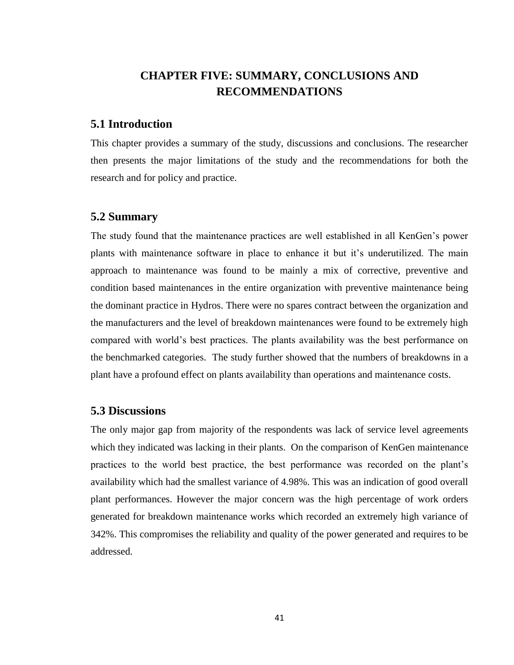# <span id="page-51-0"></span>**CHAPTER FIVE: SUMMARY, CONCLUSIONS AND RECOMMENDATIONS**

### <span id="page-51-1"></span>**5.1 Introduction**

This chapter provides a summary of the study, discussions and conclusions. The researcher then presents the major limitations of the study and the recommendations for both the research and for policy and practice.

### <span id="page-51-2"></span>**5.2 Summary**

The study found that the maintenance practices are well established in all KenGen"s power plants with maintenance software in place to enhance it but it's underutilized. The main approach to maintenance was found to be mainly a mix of corrective, preventive and condition based maintenances in the entire organization with preventive maintenance being the dominant practice in Hydros. There were no spares contract between the organization and the manufacturers and the level of breakdown maintenances were found to be extremely high compared with world"s best practices. The plants availability was the best performance on the benchmarked categories. The study further showed that the numbers of breakdowns in a plant have a profound effect on plants availability than operations and maintenance costs.

#### <span id="page-51-3"></span>**5.3 Discussions**

The only major gap from majority of the respondents was lack of service level agreements which they indicated was lacking in their plants. On the comparison of KenGen maintenance practices to the world best practice, the best performance was recorded on the plant"s availability which had the smallest variance of 4.98%. This was an indication of good overall plant performances. However the major concern was the high percentage of work orders generated for breakdown maintenance works which recorded an extremely high variance of 342%. This compromises the reliability and quality of the power generated and requires to be addressed.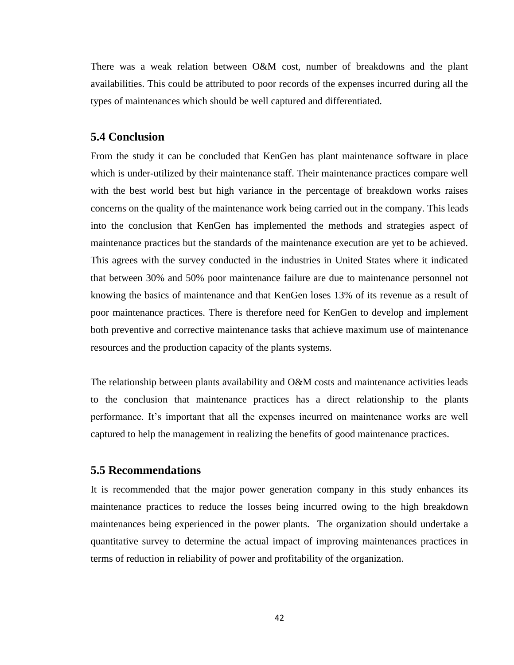There was a weak relation between O&M cost, number of breakdowns and the plant availabilities. This could be attributed to poor records of the expenses incurred during all the types of maintenances which should be well captured and differentiated.

#### <span id="page-52-0"></span>**5.4 Conclusion**

From the study it can be concluded that KenGen has plant maintenance software in place which is under-utilized by their maintenance staff. Their maintenance practices compare well with the best world best but high variance in the percentage of breakdown works raises concerns on the quality of the maintenance work being carried out in the company. This leads into the conclusion that KenGen has implemented the methods and strategies aspect of maintenance practices but the standards of the maintenance execution are yet to be achieved. This agrees with the survey conducted in the industries in United States where it indicated that between 30% and 50% poor maintenance failure are due to maintenance personnel not knowing the basics of maintenance and that KenGen loses 13% of its revenue as a result of poor maintenance practices. There is therefore need for KenGen to develop and implement both preventive and corrective maintenance tasks that achieve maximum use of maintenance resources and the production capacity of the plants systems.

The relationship between plants availability and O&M costs and maintenance activities leads to the conclusion that maintenance practices has a direct relationship to the plants performance. It"s important that all the expenses incurred on maintenance works are well captured to help the management in realizing the benefits of good maintenance practices.

### <span id="page-52-1"></span>**5.5 Recommendations**

It is recommended that the major power generation company in this study enhances its maintenance practices to reduce the losses being incurred owing to the high breakdown maintenances being experienced in the power plants. The organization should undertake a quantitative survey to determine the actual impact of improving maintenances practices in terms of reduction in reliability of power and profitability of the organization.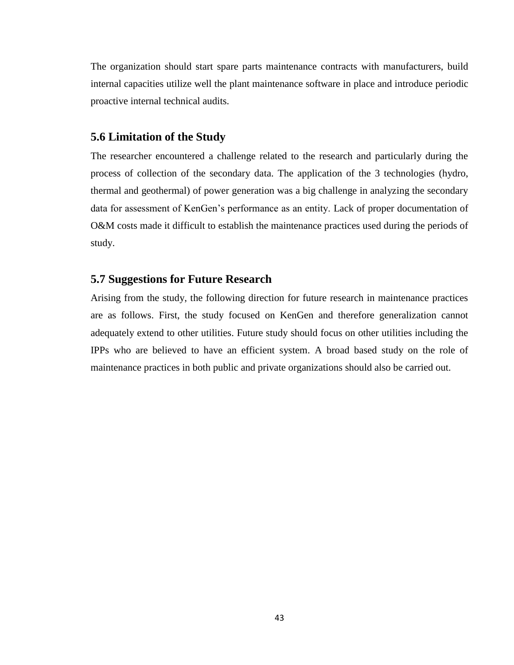The organization should start spare parts maintenance contracts with manufacturers, build internal capacities utilize well the plant maintenance software in place and introduce periodic proactive internal technical audits.

#### <span id="page-53-0"></span>**5.6 Limitation of the Study**

The researcher encountered a challenge related to the research and particularly during the process of collection of the secondary data. The application of the 3 technologies (hydro, thermal and geothermal) of power generation was a big challenge in analyzing the secondary data for assessment of KenGen's performance as an entity. Lack of proper documentation of O&M costs made it difficult to establish the maintenance practices used during the periods of study.

#### <span id="page-53-1"></span>**5.7 Suggestions for Future Research**

Arising from the study, the following direction for future research in maintenance practices are as follows. First, the study focused on KenGen and therefore generalization cannot adequately extend to other utilities. Future study should focus on other utilities including the IPPs who are believed to have an efficient system. A broad based study on the role of maintenance practices in both public and private organizations should also be carried out.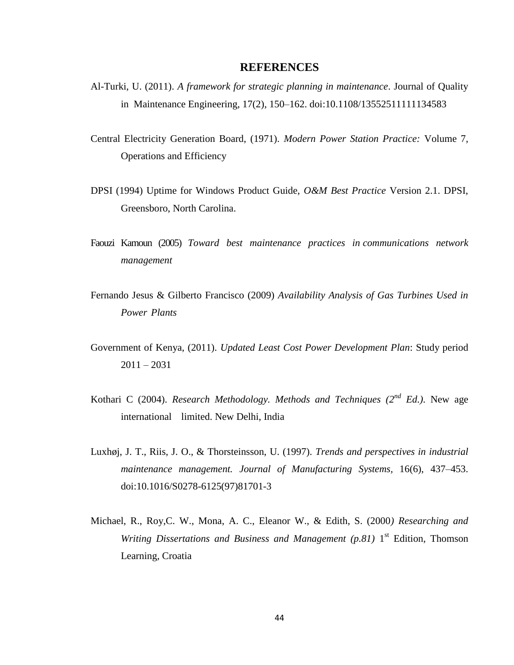#### **REFERENCES**

- <span id="page-54-0"></span>Al-Turki, U. (2011). *A framework for strategic planning in maintenance*. Journal of Quality in Maintenance Engineering, 17(2), 150–162. doi:10.1108/13552511111134583
- Central Electricity Generation Board, (1971). *Modern Power Station Practice:* Volume 7, Operations and Efficiency
- DPSI (1994) Uptime for Windows Product Guide, *O&M Best Practice* Version 2.1. DPSI, Greensboro, North Carolina.
- Faouzi Kamoun (2005) *Toward best maintenance practices in communications network management*
- Fernando Jesus & Gilberto Francisco (2009) *Availability Analysis of Gas Turbines Used in Power Plants*
- Government of Kenya, (2011). *Updated Least Cost Power Development Plan*: Study period  $2011 - 2031$
- Kothari C (2004). *Research Methodology. Methods and Techniques (2nd Ed.)*. New age international limited. New Delhi, India
- Luxhøj, J. T., Riis, J. O., & Thorsteinsson, U. (1997). *Trends and perspectives in industrial maintenance management. Journal of Manufacturing Systems,* 16(6), 437–453. doi:10.1016/S0278-6125(97)81701-3
- Michael, R., Roy,C. W., Mona, A. C., Eleanor W., & Edith, S. (2000*) Researching and*  Writing Dissertations and Business and Management (p.81) 1<sup>st</sup> Edition, Thomson Learning, Croatia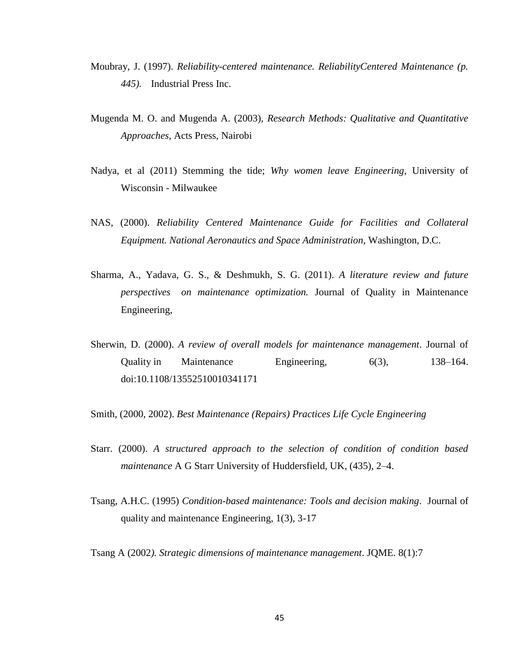- Moubray, J. (1997). *Reliability-centered maintenance. ReliabilityCentered Maintenance (p. 445).* Industrial Press Inc.
- Mugenda M. O. and Mugenda A. (2003), *Research Methods: Qualitative and Quantitative Approaches*, Acts Press, Nairobi
- Nadya, et al (2011) Stemming the tide; *Why women leave Engineering*, University of Wisconsin - Milwaukee
- NAS, (2000). *Reliability Centered Maintenance Guide for Facilities and Collateral Equipment. National Aeronautics and Space Administration*, Washington, D.C.
- Sharma, A., Yadava, G. S., & Deshmukh, S. G. (2011). *A literature review and future perspectives on maintenance optimization.* Journal of Quality in Maintenance Engineering,
- Sherwin, D. (2000). *A review of overall models for maintenance management*. Journal of Quality in Maintenance Engineering, 6(3), 138–164. doi:10.1108/13552510010341171
- Smith, (2000, 2002). *Best Maintenance (Repairs) Practices Life Cycle Engineering*
- Starr. (2000). *A structured approach to the selection of condition of condition based maintenance* A G Starr University of Huddersfield, UK, (435), 2–4.
- Tsang, A.H.C. (1995) *Condition-based maintenance: Tools and decision making*. Journal of quality and maintenance Engineering, 1(3), 3-17
- Tsang A (2002*). Strategic dimensions of maintenance management*. JQME. 8(1):7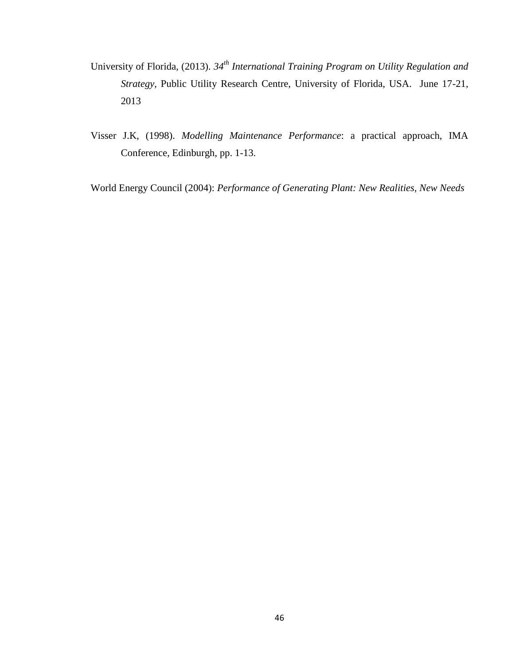- University of Florida, (2013). *34th International Training Program on Utility Regulation and Strategy,* Public Utility Research Centre, University of Florida, USA. June 17-21, 2013
- Visser J.K, (1998). *Modelling Maintenance Performance*: a practical approach, IMA Conference, Edinburgh, pp. 1-13.

World Energy Council (2004): *Performance of Generating Plant: New Realities, New Needs*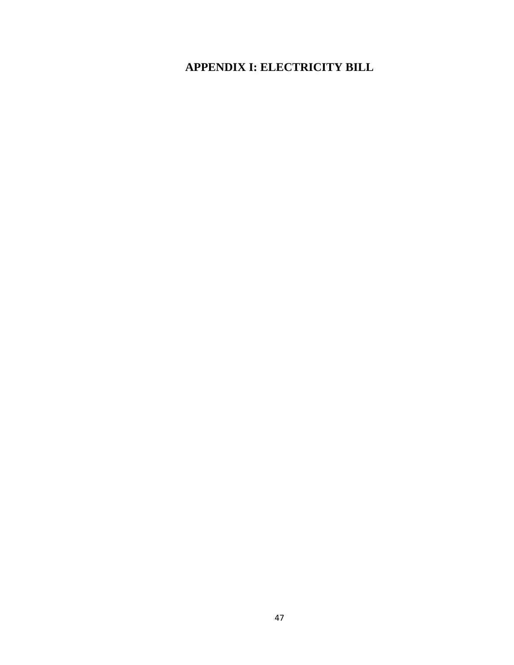<span id="page-57-0"></span>**APPENDIX I: ELECTRICITY BILL**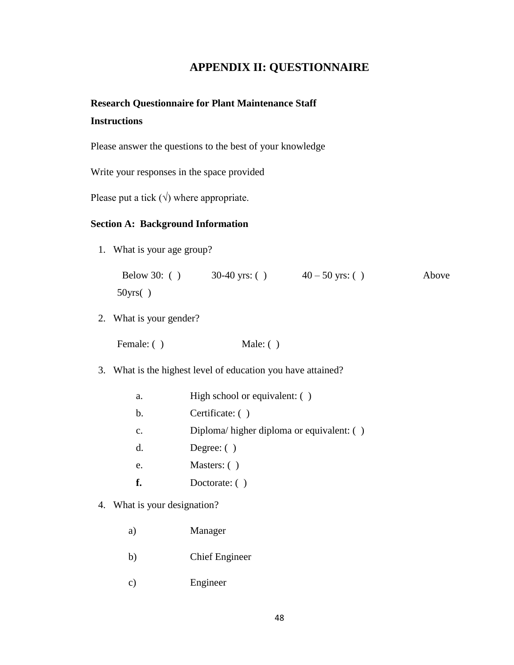# **APPENDIX II: QUESTIONNAIRE**

# <span id="page-58-0"></span>**Research Questionnaire for Plant Maintenance Staff Instructions**

Please answer the questions to the best of your knowledge

Write your responses in the space provided

Please put a tick  $(\sqrt{})$  where appropriate.

#### **Section A: Background Information**

1. What is your age group?

| Below 30: $( )$ | 30-40 yrs: $( )$ | $40 - 50$ yrs: () | Above |
|-----------------|------------------|-------------------|-------|
| 50yrs( )        |                  |                   |       |

2. What is your gender?

| Female: $( )$ | Male: $( )$ |  |  |
|---------------|-------------|--|--|
|---------------|-------------|--|--|

3. What is the highest level of education you have attained?

| a. |  | High school or equivalent: () |  |
|----|--|-------------------------------|--|
|----|--|-------------------------------|--|

- b. Certificate: ( )
- c. Diploma/ higher diploma or equivalent: ( )
- d. Degree: ( )
- e. Masters: ( )
- **f.** Doctorate: ( )
- 4. What is your designation?
	- a) Manager
	- b) Chief Engineer
	- c) Engineer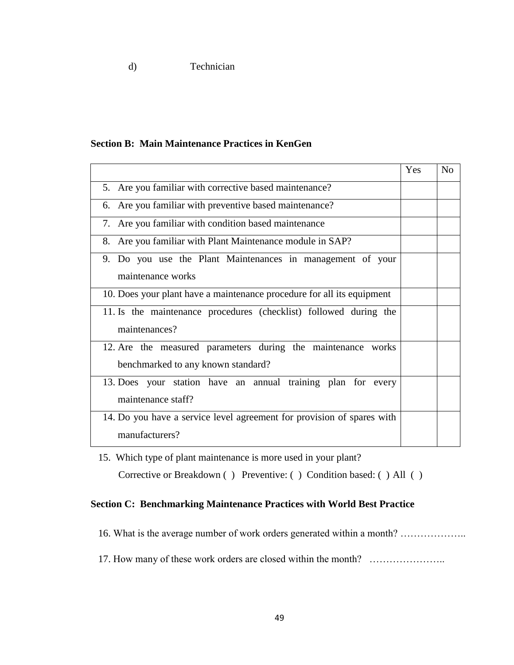d) Technician

#### **Section B: Main Maintenance Practices in KenGen**

|                                                                        | Yes | No |
|------------------------------------------------------------------------|-----|----|
| 5. Are you familiar with corrective based maintenance?                 |     |    |
| 6. Are you familiar with preventive based maintenance?                 |     |    |
| 7. Are you familiar with condition based maintenance                   |     |    |
| 8. Are you familiar with Plant Maintenance module in SAP?              |     |    |
| 9. Do you use the Plant Maintenances in management of your             |     |    |
| maintenance works                                                      |     |    |
| 10. Does your plant have a maintenance procedure for all its equipment |     |    |
| 11. Is the maintenance procedures (checklist) followed during the      |     |    |
| maintenances?                                                          |     |    |
| 12. Are the measured parameters during the maintenance works           |     |    |
| benchmarked to any known standard?                                     |     |    |
| 13. Does your station have an annual training plan for every           |     |    |
| maintenance staff?                                                     |     |    |
| 14. Do you have a service level agreement for provision of spares with |     |    |
| manufacturers?                                                         |     |    |

15. Which type of plant maintenance is more used in your plant?

Corrective or Breakdown ( ) Preventive: ( ) Condition based: ( ) All ( )

### **Section C: Benchmarking Maintenance Practices with World Best Practice**

- 16. What is the average number of work orders generated within a month? ………………..
- 17. How many of these work orders are closed within the month? …………………..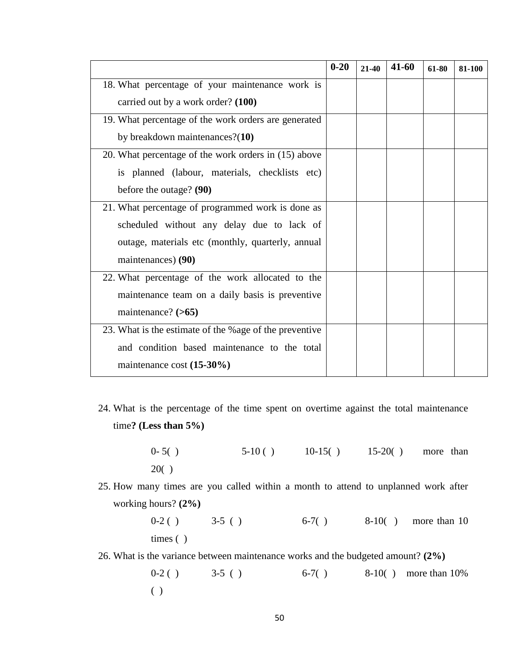|                                                        | $0 - 20$ | $21 - 40$ | $41 - 60$ | 61-80 | 81-100 |
|--------------------------------------------------------|----------|-----------|-----------|-------|--------|
| 18. What percentage of your maintenance work is        |          |           |           |       |        |
| carried out by a work order? (100)                     |          |           |           |       |        |
| 19. What percentage of the work orders are generated   |          |           |           |       |        |
| by breakdown maintenances? $(10)$                      |          |           |           |       |        |
| 20. What percentage of the work orders in (15) above   |          |           |           |       |        |
| is planned (labour, materials, checklists etc)         |          |           |           |       |        |
| before the outage? (90)                                |          |           |           |       |        |
| 21. What percentage of programmed work is done as      |          |           |           |       |        |
| scheduled without any delay due to lack of             |          |           |           |       |        |
| outage, materials etc (monthly, quarterly, annual      |          |           |           |       |        |
| maintenances) (90)                                     |          |           |           |       |        |
| 22. What percentage of the work allocated to the       |          |           |           |       |        |
| maintenance team on a daily basis is preventive        |          |           |           |       |        |
| maintenance? $(>65)$                                   |          |           |           |       |        |
| 23. What is the estimate of the %age of the preventive |          |           |           |       |        |
| and condition based maintenance to the total           |          |           |           |       |        |
| maintenance cost (15-30%)                              |          |           |           |       |        |

- 24. What is the percentage of the time spent on overtime against the total maintenance time**? (Less than 5%)**
	- $0-5()$   $5-10()$   $10-15()$   $15-20()$  more than 20( )
- 25. How many times are you called within a month to attend to unplanned work after working hours? **(2%)**

 $0-2$  ( )  $3-5$  ( )  $6-7$  ( )  $8-10$  ( ) more than 10 times ( )

26. What is the variance between maintenance works and the budgeted amount? **(2%)**

 $0-2$  ( )  $3-5$  ( )  $6-7$  ( )  $8-10$  ( ) more than  $10\%$ ( )